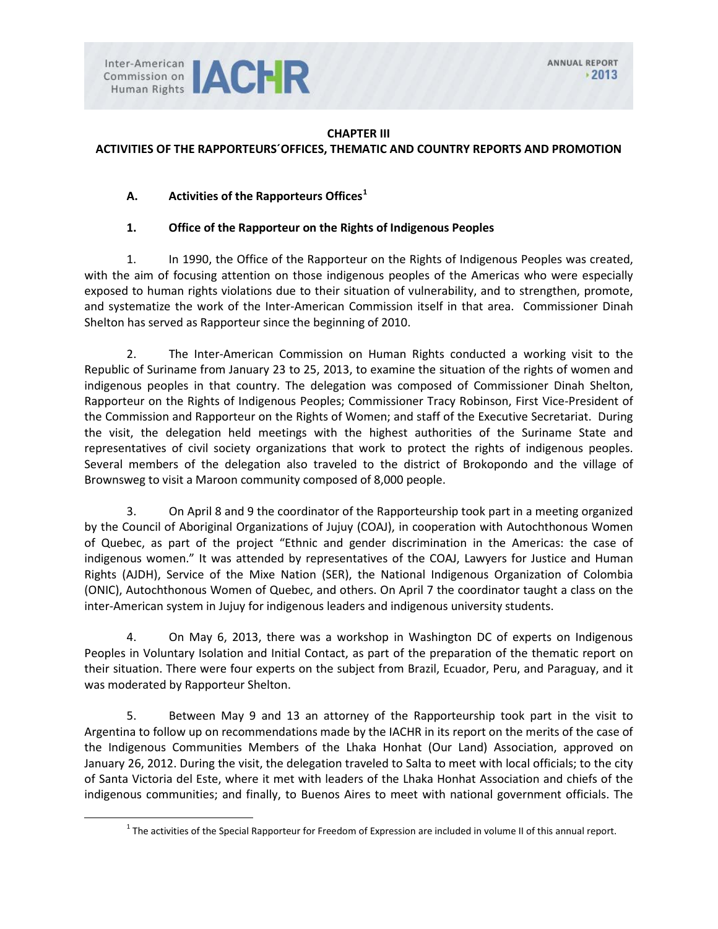

#### **CHAPTER III**

### **ACTIVITIES OF THE RAPPORTEURS´OFFICES, THEMATIC AND COUNTRY REPORTS AND PROMOTION**

### **A. Activities of the Rapporteurs Offices[1](#page-0-0)**

#### **1. Office of the Rapporteur on the Rights of Indigenous Peoples**

1. In 1990, the Office of the Rapporteur on the Rights of Indigenous Peoples was created, with the aim of focusing attention on those indigenous peoples of the Americas who were especially exposed to human rights violations due to their situation of vulnerability, and to strengthen, promote, and systematize the work of the Inter-American Commission itself in that area. Commissioner Dinah Shelton has served as Rapporteur since the beginning of 2010.

2. The Inter-American Commission on Human Rights conducted a working visit to the Republic of Suriname from January 23 to 25, 2013, to examine the situation of the rights of women and indigenous peoples in that country. The delegation was composed of Commissioner Dinah Shelton, Rapporteur on the Rights of Indigenous Peoples; Commissioner Tracy Robinson, First Vice-President of the Commission and Rapporteur on the Rights of Women; and staff of the Executive Secretariat. During the visit, the delegation held meetings with the highest authorities of the Suriname State and representatives of civil society organizations that work to protect the rights of indigenous peoples. Several members of the delegation also traveled to the district of Brokopondo and the village of Brownsweg to visit a Maroon community composed of 8,000 people.

3. On April 8 and 9 the coordinator of the Rapporteurship took part in a meeting organized by the Council of Aboriginal Organizations of Jujuy (COAJ), in cooperation with Autochthonous Women of Quebec, as part of the project "Ethnic and gender discrimination in the Americas: the case of indigenous women." It was attended by representatives of the COAJ, Lawyers for Justice and Human Rights (AJDH), Service of the Mixe Nation (SER), the National Indigenous Organization of Colombia (ONIC), Autochthonous Women of Quebec, and others. On April 7 the coordinator taught a class on the inter-American system in Jujuy for indigenous leaders and indigenous university students.

4. On May 6, 2013, there was a workshop in Washington DC of experts on Indigenous Peoples in Voluntary Isolation and Initial Contact, as part of the preparation of the thematic report on their situation. There were four experts on the subject from Brazil, Ecuador, Peru, and Paraguay, and it was moderated by Rapporteur Shelton.

5. Between May 9 and 13 an attorney of the Rapporteurship took part in the visit to Argentina to follow up on recommendations made by the IACHR in its report on the merits of the case of the Indigenous Communities Members of the Lhaka Honhat (Our Land) Association, approved on January 26, 2012. During the visit, the delegation traveled to Salta to meet with local officials; to the city of Santa Victoria del Este, where it met with leaders of the Lhaka Honhat Association and chiefs of the indigenous communities; and finally, to Buenos Aires to meet with national government officials. The

<span id="page-0-0"></span> $1$  The activities of the Special Rapporteur for Freedom of Expression are included in volume II of this annual report.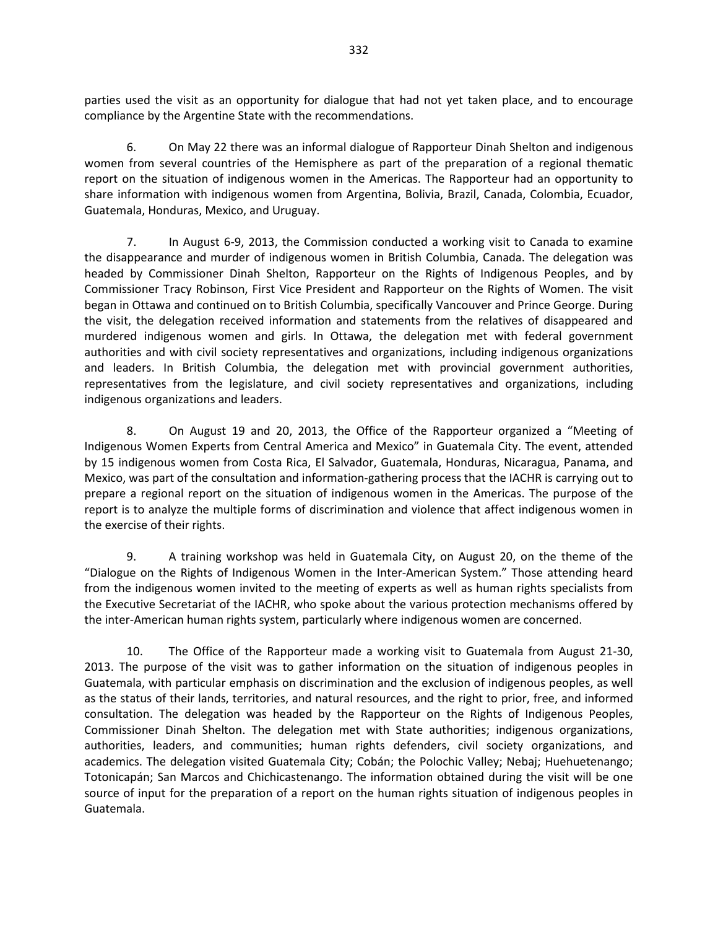parties used the visit as an opportunity for dialogue that had not yet taken place, and to encourage compliance by the Argentine State with the recommendations.

6. On May 22 there was an informal dialogue of Rapporteur Dinah Shelton and indigenous women from several countries of the Hemisphere as part of the preparation of a regional thematic report on the situation of indigenous women in the Americas. The Rapporteur had an opportunity to share information with indigenous women from Argentina, Bolivia, Brazil, Canada, Colombia, Ecuador, Guatemala, Honduras, Mexico, and Uruguay.

7. In August 6-9, 2013, the Commission conducted a working visit to Canada to examine the disappearance and murder of indigenous women in British Columbia, Canada. The delegation was headed by Commissioner Dinah Shelton, Rapporteur on the Rights of Indigenous Peoples, and by Commissioner Tracy Robinson, First Vice President and Rapporteur on the Rights of Women. The visit began in Ottawa and continued on to British Columbia, specifically Vancouver and Prince George. During the visit, the delegation received information and statements from the relatives of disappeared and murdered indigenous women and girls. In Ottawa, the delegation met with federal government authorities and with civil society representatives and organizations, including indigenous organizations and leaders. In British Columbia, the delegation met with provincial government authorities, representatives from the legislature, and civil society representatives and organizations, including indigenous organizations and leaders.

8. On August 19 and 20, 2013, the Office of the Rapporteur organized a "Meeting of Indigenous Women Experts from Central America and Mexico" in Guatemala City. The event, attended by 15 indigenous women from Costa Rica, El Salvador, Guatemala, Honduras, Nicaragua, Panama, and Mexico, was part of the consultation and information-gathering process that the IACHR is carrying out to prepare a regional report on the situation of indigenous women in the Americas. The purpose of the report is to analyze the multiple forms of discrimination and violence that affect indigenous women in the exercise of their rights.

9. A training workshop was held in Guatemala City, on August 20, on the theme of the "Dialogue on the Rights of Indigenous Women in the Inter-American System." Those attending heard from the indigenous women invited to the meeting of experts as well as human rights specialists from the Executive Secretariat of the IACHR, who spoke about the various protection mechanisms offered by the inter-American human rights system, particularly where indigenous women are concerned.

10. The Office of the Rapporteur made a working visit to Guatemala from August 21-30, 2013. The purpose of the visit was to gather information on the situation of indigenous peoples in Guatemala, with particular emphasis on discrimination and the exclusion of indigenous peoples, as well as the status of their lands, territories, and natural resources, and the right to prior, free, and informed consultation. The delegation was headed by the Rapporteur on the Rights of Indigenous Peoples, Commissioner Dinah Shelton. The delegation met with State authorities; indigenous organizations, authorities, leaders, and communities; human rights defenders, civil society organizations, and academics. The delegation visited Guatemala City; Cobán; the Polochic Valley; Nebaj; Huehuetenango; Totonicapán; San Marcos and Chichicastenango. The information obtained during the visit will be one source of input for the preparation of a report on the human rights situation of indigenous peoples in Guatemala.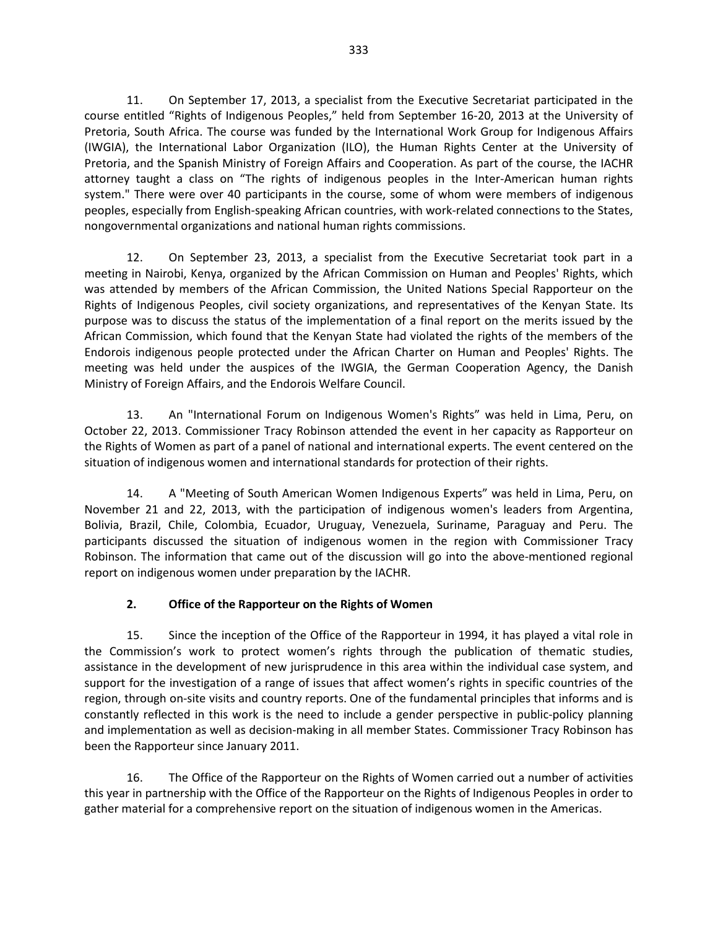11. On September 17, 2013, a specialist from the Executive Secretariat participated in the course entitled "Rights of Indigenous Peoples," held from September 16-20, 2013 at the University of Pretoria, South Africa. The course was funded by the International Work Group for Indigenous Affairs (IWGIA), the International Labor Organization (ILO), the Human Rights Center at the University of Pretoria, and the Spanish Ministry of Foreign Affairs and Cooperation. As part of the course, the IACHR attorney taught a class on "The rights of indigenous peoples in the Inter-American human rights system." There were over 40 participants in the course, some of whom were members of indigenous peoples, especially from English-speaking African countries, with work-related connections to the States, nongovernmental organizations and national human rights commissions.

12. On September 23, 2013, a specialist from the Executive Secretariat took part in a meeting in Nairobi, Kenya, organized by the African Commission on Human and Peoples' Rights, which was attended by members of the African Commission, the United Nations Special Rapporteur on the Rights of Indigenous Peoples, civil society organizations, and representatives of the Kenyan State. Its purpose was to discuss the status of the implementation of a final report on the merits issued by the African Commission, which found that the Kenyan State had violated the rights of the members of the Endorois indigenous people protected under the African Charter on Human and Peoples' Rights. The meeting was held under the auspices of the IWGIA, the German Cooperation Agency, the Danish Ministry of Foreign Affairs, and the Endorois Welfare Council.

13. An "International Forum on Indigenous Women's Rights" was held in Lima, Peru, on October 22, 2013. Commissioner Tracy Robinson attended the event in her capacity as Rapporteur on the Rights of Women as part of a panel of national and international experts. The event centered on the situation of indigenous women and international standards for protection of their rights.

14. A "Meeting of South American Women Indigenous Experts" was held in Lima, Peru, on November 21 and 22, 2013, with the participation of indigenous women's leaders from Argentina, Bolivia, Brazil, Chile, Colombia, Ecuador, Uruguay, Venezuela, Suriname, Paraguay and Peru. The participants discussed the situation of indigenous women in the region with Commissioner Tracy Robinson. The information that came out of the discussion will go into the above-mentioned regional report on indigenous women under preparation by the IACHR.

## **2. Office of the Rapporteur on the Rights of Women**

15. Since the inception of the Office of the Rapporteur in 1994, it has played a vital role in the Commission's work to protect women's rights through the publication of thematic studies, assistance in the development of new jurisprudence in this area within the individual case system, and support for the investigation of a range of issues that affect women's rights in specific countries of the region, through on-site visits and country reports. One of the fundamental principles that informs and is constantly reflected in this work is the need to include a gender perspective in public-policy planning and implementation as well as decision-making in all member States. Commissioner Tracy Robinson has been the Rapporteur since January 2011.

16. The Office of the Rapporteur on the Rights of Women carried out a number of activities this year in partnership with the Office of the Rapporteur on the Rights of Indigenous Peoples in order to gather material for a comprehensive report on the situation of indigenous women in the Americas.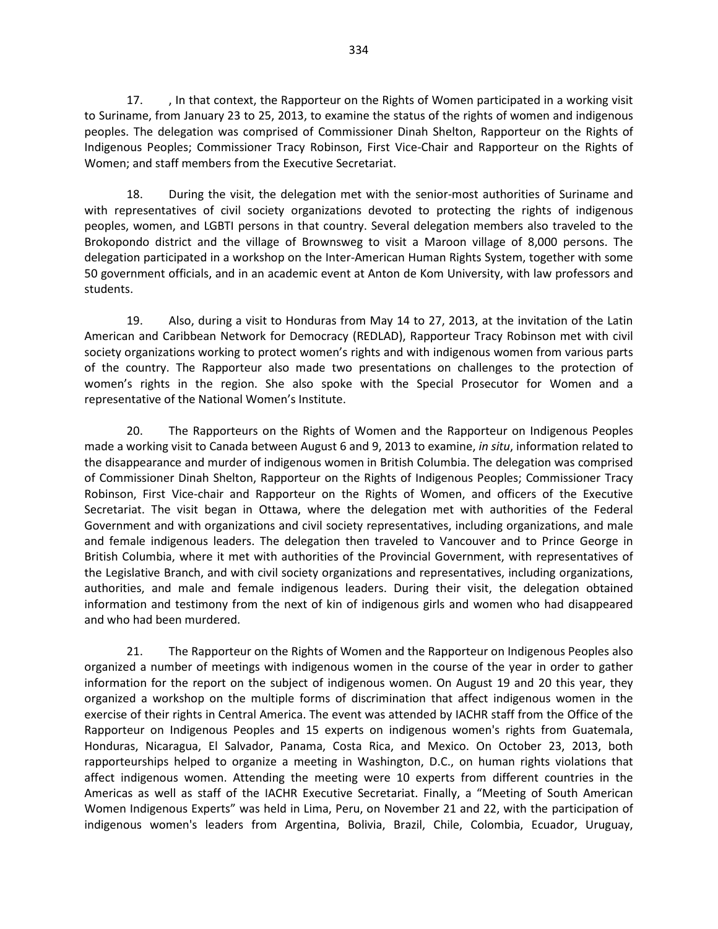17. , In that context, the Rapporteur on the Rights of Women participated in a working visit to Suriname, from January 23 to 25, 2013, to examine the status of the rights of women and indigenous peoples. The delegation was comprised of Commissioner Dinah Shelton, Rapporteur on the Rights of Indigenous Peoples; Commissioner Tracy Robinson, First Vice-Chair and Rapporteur on the Rights of Women; and staff members from the Executive Secretariat.

18. During the visit, the delegation met with the senior-most authorities of Suriname and with representatives of civil society organizations devoted to protecting the rights of indigenous peoples, women, and LGBTI persons in that country. Several delegation members also traveled to the Brokopondo district and the village of Brownsweg to visit a Maroon village of 8,000 persons. The delegation participated in a workshop on the Inter-American Human Rights System, together with some 50 government officials, and in an academic event at Anton de Kom University, with law professors and students.

19. Also, during a visit to Honduras from May 14 to 27, 2013, at the invitation of the Latin American and Caribbean Network for Democracy (REDLAD), Rapporteur Tracy Robinson met with civil society organizations working to protect women's rights and with indigenous women from various parts of the country. The Rapporteur also made two presentations on challenges to the protection of women's rights in the region. She also spoke with the Special Prosecutor for Women and a representative of the National Women's Institute.

20. The Rapporteurs on the Rights of Women and the Rapporteur on Indigenous Peoples made a working visit to Canada between August 6 and 9, 2013 to examine, *in situ*, information related to the disappearance and murder of indigenous women in British Columbia. The delegation was comprised of Commissioner Dinah Shelton, Rapporteur on the Rights of Indigenous Peoples; Commissioner Tracy Robinson, First Vice-chair and Rapporteur on the Rights of Women, and officers of the Executive Secretariat. The visit began in Ottawa, where the delegation met with authorities of the Federal Government and with organizations and civil society representatives, including organizations, and male and female indigenous leaders. The delegation then traveled to Vancouver and to Prince George in British Columbia, where it met with authorities of the Provincial Government, with representatives of the Legislative Branch, and with civil society organizations and representatives, including organizations, authorities, and male and female indigenous leaders. During their visit, the delegation obtained information and testimony from the next of kin of indigenous girls and women who had disappeared and who had been murdered.

21. The Rapporteur on the Rights of Women and the Rapporteur on Indigenous Peoples also organized a number of meetings with indigenous women in the course of the year in order to gather information for the report on the subject of indigenous women. On August 19 and 20 this year, they organized a workshop on the multiple forms of discrimination that affect indigenous women in the exercise of their rights in Central America. The event was attended by IACHR staff from the Office of the Rapporteur on Indigenous Peoples and 15 experts on indigenous women's rights from Guatemala, Honduras, Nicaragua, El Salvador, Panama, Costa Rica, and Mexico. On October 23, 2013, both rapporteurships helped to organize a meeting in Washington, D.C., on human rights violations that affect indigenous women. Attending the meeting were 10 experts from different countries in the Americas as well as staff of the IACHR Executive Secretariat. Finally, a "Meeting of South American Women Indigenous Experts" was held in Lima, Peru, on November 21 and 22, with the participation of indigenous women's leaders from Argentina, Bolivia, Brazil, Chile, Colombia, Ecuador, Uruguay,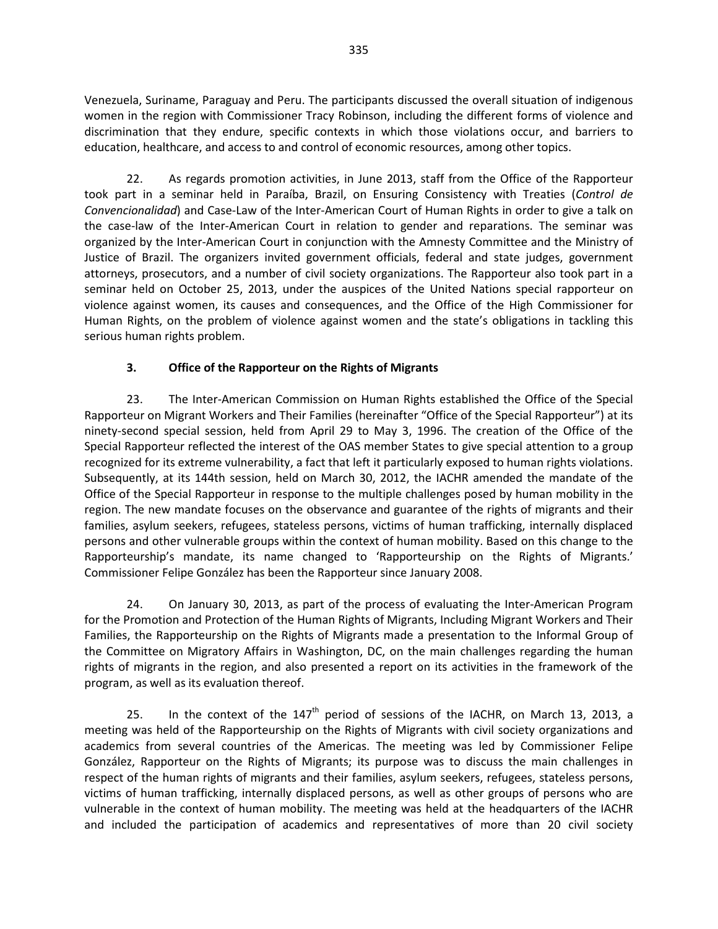Venezuela, Suriname, Paraguay and Peru. The participants discussed the overall situation of indigenous women in the region with Commissioner Tracy Robinson, including the different forms of violence and discrimination that they endure, specific contexts in which those violations occur, and barriers to education, healthcare, and access to and control of economic resources, among other topics.

22. As regards promotion activities, in June 2013, staff from the Office of the Rapporteur took part in a seminar held in Paraíba, Brazil, on Ensuring Consistency with Treaties (*Control de Convencionalidad*) and Case-Law of the Inter-American Court of Human Rights in order to give a talk on the case-law of the Inter-American Court in relation to gender and reparations. The seminar was organized by the Inter-American Court in conjunction with the Amnesty Committee and the Ministry of Justice of Brazil. The organizers invited government officials, federal and state judges, government attorneys, prosecutors, and a number of civil society organizations. The Rapporteur also took part in a seminar held on October 25, 2013, under the auspices of the United Nations special rapporteur on violence against women, its causes and consequences, and the Office of the High Commissioner for Human Rights, on the problem of violence against women and the state's obligations in tackling this serious human rights problem.

# **3. Office of the Rapporteur on the Rights of Migrants**

23. The Inter-American Commission on Human Rights established the Office of the Special Rapporteur on Migrant Workers and Their Families (hereinafter "Office of the Special Rapporteur") at its ninety-second special session, held from April 29 to May 3, 1996. The creation of the Office of the Special Rapporteur reflected the interest of the OAS member States to give special attention to a group recognized for its extreme vulnerability, a fact that left it particularly exposed to human rights violations. Subsequently, at its 144th session, held on March 30, 2012, the IACHR amended the mandate of the Office of the Special Rapporteur in response to the multiple challenges posed by human mobility in the region. The new mandate focuses on the observance and guarantee of the rights of migrants and their families, asylum seekers, refugees, stateless persons, victims of human trafficking, internally displaced persons and other vulnerable groups within the context of human mobility. Based on this change to the Rapporteurship's mandate, its name changed to 'Rapporteurship on the Rights of Migrants.' Commissioner Felipe González has been the Rapporteur since January 2008.

24. On January 30, 2013, as part of the process of evaluating the Inter-American Program for the Promotion and Protection of the Human Rights of Migrants, Including Migrant Workers and Their Families, the Rapporteurship on the Rights of Migrants made a presentation to the Informal Group of the Committee on Migratory Affairs in Washington, DC, on the main challenges regarding the human rights of migrants in the region, and also presented a report on its activities in the framework of the program, as well as its evaluation thereof.

25. In the context of the  $147<sup>th</sup>$  period of sessions of the IACHR, on March 13, 2013, a meeting was held of the Rapporteurship on the Rights of Migrants with civil society organizations and academics from several countries of the Americas. The meeting was led by Commissioner Felipe González, Rapporteur on the Rights of Migrants; its purpose was to discuss the main challenges in respect of the human rights of migrants and their families, asylum seekers, refugees, stateless persons, victims of human trafficking, internally displaced persons, as well as other groups of persons who are vulnerable in the context of human mobility. The meeting was held at the headquarters of the IACHR and included the participation of academics and representatives of more than 20 civil society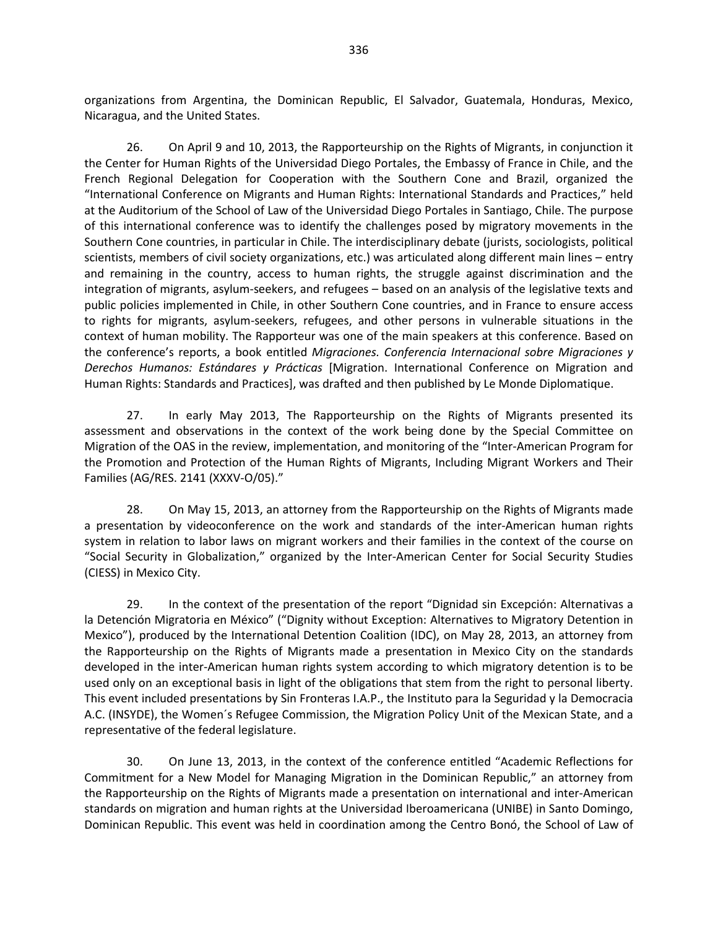organizations from Argentina, the Dominican Republic, El Salvador, Guatemala, Honduras, Mexico, Nicaragua, and the United States.

26. On April 9 and 10, 2013, the Rapporteurship on the Rights of Migrants, in conjunction it the Center for Human Rights of the Universidad Diego Portales, the Embassy of France in Chile, and the French Regional Delegation for Cooperation with the Southern Cone and Brazil, organized the "International Conference on Migrants and Human Rights: International Standards and Practices," held at the Auditorium of the School of Law of the Universidad Diego Portales in Santiago, Chile. The purpose of this international conference was to identify the challenges posed by migratory movements in the Southern Cone countries, in particular in Chile. The interdisciplinary debate (jurists, sociologists, political scientists, members of civil society organizations, etc.) was articulated along different main lines – entry and remaining in the country, access to human rights, the struggle against discrimination and the integration of migrants, asylum-seekers, and refugees – based on an analysis of the legislative texts and public policies implemented in Chile, in other Southern Cone countries, and in France to ensure access to rights for migrants, asylum-seekers, refugees, and other persons in vulnerable situations in the context of human mobility. The Rapporteur was one of the main speakers at this conference. Based on the conference's reports, a book entitled *Migraciones. Conferencia Internacional sobre Migraciones y Derechos Humanos: Estándares y Prácticas* [Migration. International Conference on Migration and Human Rights: Standards and Practices], was drafted and then published by Le Monde Diplomatique.

27. In early May 2013, The Rapporteurship on the Rights of Migrants presented its assessment and observations in the context of the work being done by the Special Committee on Migration of the OAS in the review, implementation, and monitoring of the "Inter-American Program for the Promotion and Protection of the Human Rights of Migrants, Including Migrant Workers and Their Families (AG/RES. 2141 (XXXV-O/05)."

28. On May 15, 2013, an attorney from the Rapporteurship on the Rights of Migrants made a presentation by videoconference on the work and standards of the inter-American human rights system in relation to labor laws on migrant workers and their families in the context of the course on "Social Security in Globalization," organized by the Inter-American Center for Social Security Studies (CIESS) in Mexico City.

29. In the context of the presentation of the report "Dignidad sin Excepción: Alternativas a la Detención Migratoria en México" ("Dignity without Exception: Alternatives to Migratory Detention in Mexico"), produced by the International Detention Coalition (IDC), on May 28, 2013, an attorney from the Rapporteurship on the Rights of Migrants made a presentation in Mexico City on the standards developed in the inter-American human rights system according to which migratory detention is to be used only on an exceptional basis in light of the obligations that stem from the right to personal liberty. This event included presentations by Sin Fronteras I.A.P., the Instituto para la Seguridad y la Democracia A.C. (INSYDE), the Women´s Refugee Commission, the Migration Policy Unit of the Mexican State, and a representative of the federal legislature.

30. On June 13, 2013, in the context of the conference entitled "Academic Reflections for Commitment for a New Model for Managing Migration in the Dominican Republic," an attorney from the Rapporteurship on the Rights of Migrants made a presentation on international and inter-American standards on migration and human rights at the Universidad Iberoamericana (UNIBE) in Santo Domingo, Dominican Republic. This event was held in coordination among the Centro Bonó, the School of Law of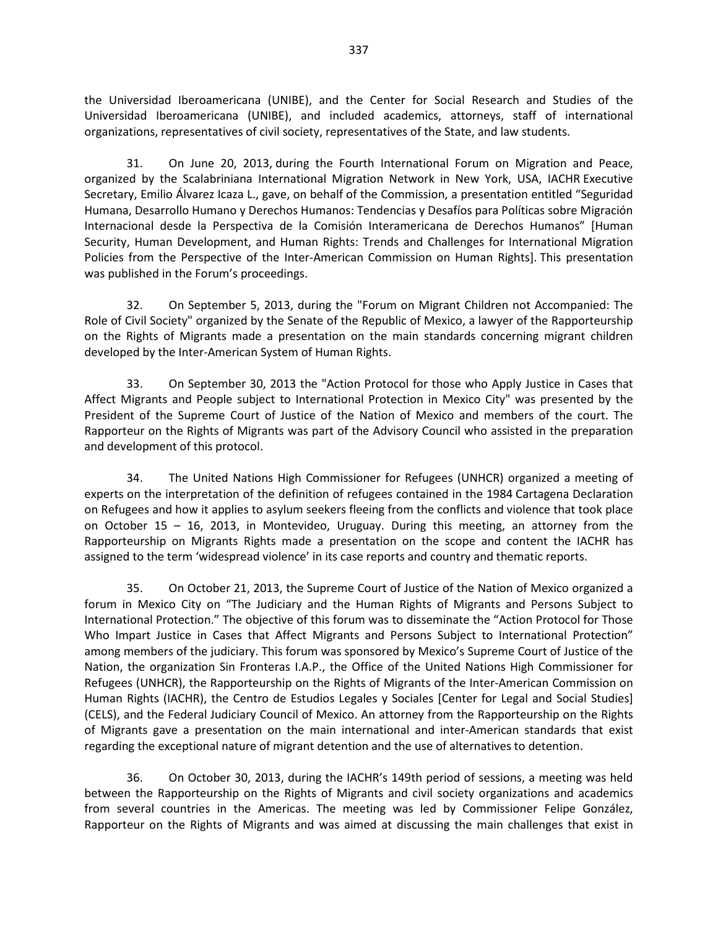the Universidad Iberoamericana (UNIBE), and the Center for Social Research and Studies of the Universidad Iberoamericana (UNIBE), and included academics, attorneys, staff of international organizations, representatives of civil society, representatives of the State, and law students.

31. On June 20, 2013, during the Fourth International Forum on Migration and Peace, organized by the Scalabriniana International Migration Network in New York, USA, IACHR Executive Secretary, Emilio Álvarez Icaza L., gave, on behalf of the Commission, a presentation entitled "Seguridad Humana, Desarrollo Humano y Derechos Humanos: Tendencias y Desafíos para Políticas sobre Migración Internacional desde la Perspectiva de la Comisión Interamericana de Derechos Humanos" [Human Security, Human Development, and Human Rights: Trends and Challenges for International Migration Policies from the Perspective of the Inter-American Commission on Human Rights]. This presentation was published in the Forum's proceedings.

32. On September 5, 2013, during the "Forum on Migrant Children not Accompanied: The Role of Civil Society" organized by the Senate of the Republic of Mexico, a lawyer of the Rapporteurship on the Rights of Migrants made a presentation on the main standards concerning migrant children developed by the Inter-American System of Human Rights.

33. On September 30, 2013 the "Action Protocol for those who Apply Justice in Cases that Affect Migrants and People subject to International Protection in Mexico City" was presented by the President of the Supreme Court of Justice of the Nation of Mexico and members of the court. The Rapporteur on the Rights of Migrants was part of the Advisory Council who assisted in the preparation and development of this protocol.

34. The United Nations High Commissioner for Refugees (UNHCR) organized a meeting of experts on the interpretation of the definition of refugees contained in the 1984 Cartagena Declaration on Refugees and how it applies to asylum seekers fleeing from the conflicts and violence that took place on October 15 – 16, 2013, in Montevideo, Uruguay. During this meeting, an attorney from the Rapporteurship on Migrants Rights made a presentation on the scope and content the IACHR has assigned to the term 'widespread violence' in its case reports and country and thematic reports.

35. On October 21, 2013, the Supreme Court of Justice of the Nation of Mexico organized a forum in Mexico City on "The Judiciary and the Human Rights of Migrants and Persons Subject to International Protection." The objective of this forum was to disseminate the "Action Protocol for Those Who Impart Justice in Cases that Affect Migrants and Persons Subject to International Protection" among members of the judiciary. This forum was sponsored by Mexico's Supreme Court of Justice of the Nation, the organization Sin Fronteras I.A.P., the Office of the United Nations High Commissioner for Refugees (UNHCR), the Rapporteurship on the Rights of Migrants of the Inter-American Commission on Human Rights (IACHR), the Centro de Estudios Legales y Sociales [Center for Legal and Social Studies] (CELS), and the Federal Judiciary Council of Mexico. An attorney from the Rapporteurship on the Rights of Migrants gave a presentation on the main international and inter-American standards that exist regarding the exceptional nature of migrant detention and the use of alternatives to detention.

36. On October 30, 2013, during the IACHR's 149th period of sessions, a meeting was held between the Rapporteurship on the Rights of Migrants and civil society organizations and academics from several countries in the Americas. The meeting was led by Commissioner Felipe González, Rapporteur on the Rights of Migrants and was aimed at discussing the main challenges that exist in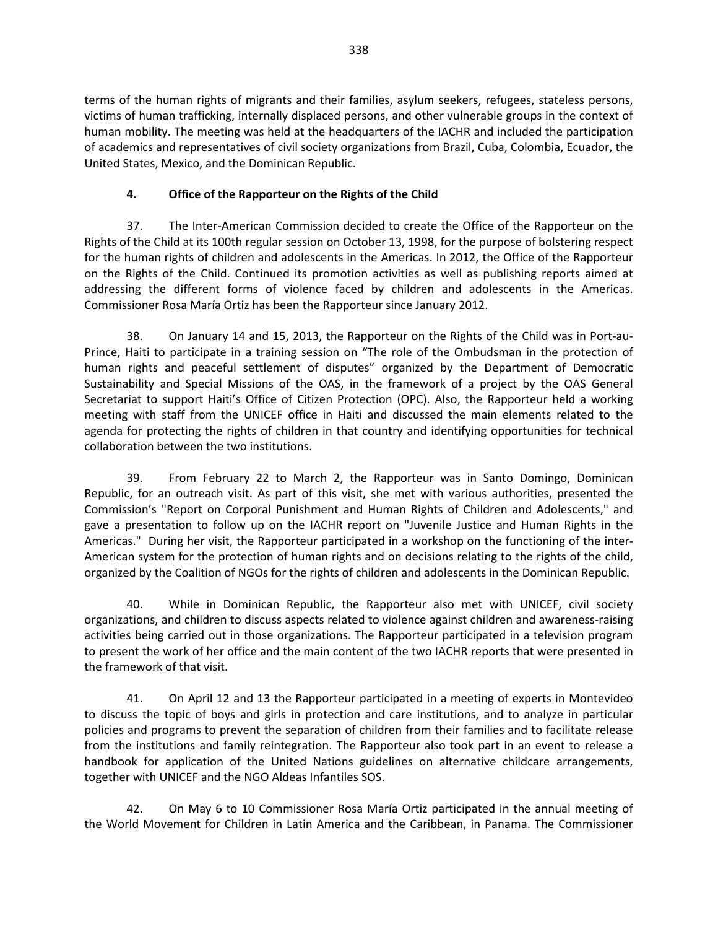terms of the human rights of migrants and their families, asylum seekers, refugees, stateless persons, victims of human trafficking, internally displaced persons, and other vulnerable groups in the context of human mobility. The meeting was held at the headquarters of the IACHR and included the participation of academics and representatives of civil society organizations from Brazil, Cuba, Colombia, Ecuador, the United States, Mexico, and the Dominican Republic.

## **4. Office of the Rapporteur on the Rights of the Child**

37. The Inter-American Commission decided to create the Office of the Rapporteur on the Rights of the Child at its 100th regular session on October 13, 1998, for the purpose of bolstering respect for the human rights of children and adolescents in the Americas. In 2012, the Office of the Rapporteur on the Rights of the Child. Continued its promotion activities as well as publishing reports aimed at addressing the different forms of violence faced by children and adolescents in the Americas. Commissioner Rosa María Ortiz has been the Rapporteur since January 2012.

38. On January 14 and 15, 2013, the Rapporteur on the Rights of the Child was in Port-au-Prince, Haiti to participate in a training session on "The role of the Ombudsman in the protection of human rights and peaceful settlement of disputes" organized by the Department of Democratic Sustainability and Special Missions of the OAS, in the framework of a project by the OAS General Secretariat to support Haiti's Office of Citizen Protection (OPC). Also, the Rapporteur held a working meeting with staff from the UNICEF office in Haiti and discussed the main elements related to the agenda for protecting the rights of children in that country and identifying opportunities for technical collaboration between the two institutions.

39. From February 22 to March 2, the Rapporteur was in Santo Domingo, Dominican Republic, for an outreach visit. As part of this visit, she met with various authorities, presented the Commission's "Report on Corporal Punishment and Human Rights of Children and Adolescents," and gave a presentation to follow up on the IACHR report on "Juvenile Justice and Human Rights in the Americas." During her visit, the Rapporteur participated in a workshop on the functioning of the inter-American system for the protection of human rights and on decisions relating to the rights of the child, organized by the Coalition of NGOs for the rights of children and adolescents in the Dominican Republic.

40. While in Dominican Republic, the Rapporteur also met with UNICEF, civil society organizations, and children to discuss aspects related to violence against children and awareness-raising activities being carried out in those organizations. The Rapporteur participated in a television program to present the work of her office and the main content of the two IACHR reports that were presented in the framework of that visit.

41. On April 12 and 13 the Rapporteur participated in a meeting of experts in Montevideo to discuss the topic of boys and girls in protection and care institutions, and to analyze in particular policies and programs to prevent the separation of children from their families and to facilitate release from the institutions and family reintegration. The Rapporteur also took part in an event to release a handbook for application of the United Nations guidelines on alternative childcare arrangements, together with UNICEF and the NGO Aldeas Infantiles SOS.

42. On May 6 to 10 Commissioner Rosa María Ortiz participated in the annual meeting of the World Movement for Children in Latin America and the Caribbean, in Panama. The Commissioner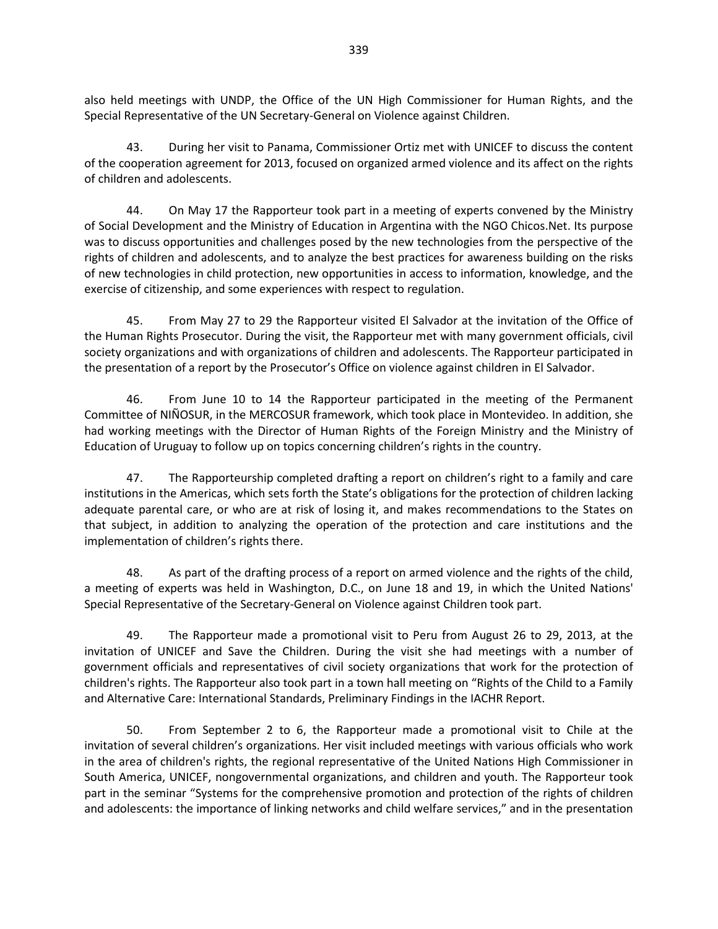also held meetings with UNDP, the Office of the UN High Commissioner for Human Rights, and the Special Representative of the UN Secretary-General on Violence against Children.

43. During her visit to Panama, Commissioner Ortiz met with UNICEF to discuss the content of the cooperation agreement for 2013, focused on organized armed violence and its affect on the rights of children and adolescents.

44. On May 17 the Rapporteur took part in a meeting of experts convened by the Ministry of Social Development and the Ministry of Education in Argentina with the NGO Chicos.Net. Its purpose was to discuss opportunities and challenges posed by the new technologies from the perspective of the rights of children and adolescents, and to analyze the best practices for awareness building on the risks of new technologies in child protection, new opportunities in access to information, knowledge, and the exercise of citizenship, and some experiences with respect to regulation.

45. From May 27 to 29 the Rapporteur visited El Salvador at the invitation of the Office of the Human Rights Prosecutor. During the visit, the Rapporteur met with many government officials, civil society organizations and with organizations of children and adolescents. The Rapporteur participated in the presentation of a report by the Prosecutor's Office on violence against children in El Salvador.

46. From June 10 to 14 the Rapporteur participated in the meeting of the Permanent Committee of NIÑOSUR, in the MERCOSUR framework, which took place in Montevideo. In addition, she had working meetings with the Director of Human Rights of the Foreign Ministry and the Ministry of Education of Uruguay to follow up on topics concerning children's rights in the country.

47. The Rapporteurship completed drafting a report on children's right to a family and care institutions in the Americas, which sets forth the State's obligations for the protection of children lacking adequate parental care, or who are at risk of losing it, and makes recommendations to the States on that subject, in addition to analyzing the operation of the protection and care institutions and the implementation of children's rights there.

48. As part of the drafting process of a report on armed violence and the rights of the child, a meeting of experts was held in Washington, D.C., on June 18 and 19, in which the United Nations' Special Representative of the Secretary-General on Violence against Children took part.

49. The Rapporteur made a promotional visit to Peru from August 26 to 29, 2013, at the invitation of UNICEF and Save the Children. During the visit she had meetings with a number of government officials and representatives of civil society organizations that work for the protection of children's rights. The Rapporteur also took part in a town hall meeting on "Rights of the Child to a Family and Alternative Care: International Standards, Preliminary Findings in the IACHR Report.

50. From September 2 to 6, the Rapporteur made a promotional visit to Chile at the invitation of several children's organizations. Her visit included meetings with various officials who work in the area of children's rights, the regional representative of the United Nations High Commissioner in South America, UNICEF, nongovernmental organizations, and children and youth. The Rapporteur took part in the seminar "Systems for the comprehensive promotion and protection of the rights of children and adolescents: the importance of linking networks and child welfare services," and in the presentation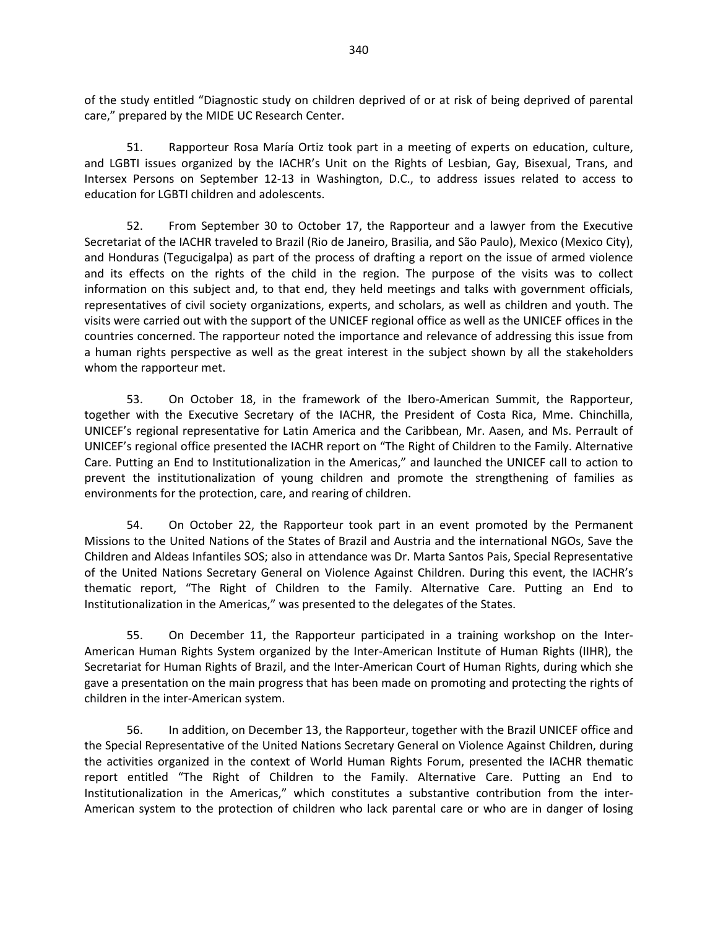of the study entitled "Diagnostic study on children deprived of or at risk of being deprived of parental care," prepared by the MIDE UC Research Center.

51. Rapporteur Rosa María Ortiz took part in a meeting of experts on education, culture, and LGBTI issues organized by the IACHR's Unit on the Rights of Lesbian, Gay, Bisexual, Trans, and Intersex Persons on September 12-13 in Washington, D.C., to address issues related to access to education for LGBTI children and adolescents.

52. From September 30 to October 17, the Rapporteur and a lawyer from the Executive Secretariat of the IACHR traveled to Brazil (Rio de Janeiro, Brasilia, and São Paulo), Mexico (Mexico City), and Honduras (Tegucigalpa) as part of the process of drafting a report on the issue of armed violence and its effects on the rights of the child in the region. The purpose of the visits was to collect information on this subject and, to that end, they held meetings and talks with government officials, representatives of civil society organizations, experts, and scholars, as well as children and youth. The visits were carried out with the support of the UNICEF regional office as well as the UNICEF offices in the countries concerned. The rapporteur noted the importance and relevance of addressing this issue from a human rights perspective as well as the great interest in the subject shown by all the stakeholders whom the rapporteur met.

53. On October 18, in the framework of the Ibero-American Summit, the Rapporteur, together with the Executive Secretary of the IACHR, the President of Costa Rica, Mme. Chinchilla, UNICEF's regional representative for Latin America and the Caribbean, Mr. Aasen, and Ms. Perrault of UNICEF's regional office presented the IACHR report on "The Right of Children to the Family. Alternative Care. Putting an End to Institutionalization in the Americas," and launched the UNICEF call to action to prevent the institutionalization of young children and promote the strengthening of families as environments for the protection, care, and rearing of children.

54. On October 22, the Rapporteur took part in an event promoted by the Permanent Missions to the United Nations of the States of Brazil and Austria and the international NGOs, Save the Children and Aldeas Infantiles SOS; also in attendance was Dr. Marta Santos Pais, Special Representative of the United Nations Secretary General on Violence Against Children. During this event, the IACHR's thematic report, "The Right of Children to the Family. Alternative Care. Putting an End to Institutionalization in the Americas," was presented to the delegates of the States.

55. On December 11, the Rapporteur participated in a training workshop on the Inter-American Human Rights System organized by the Inter-American Institute of Human Rights (IIHR), the Secretariat for Human Rights of Brazil, and the Inter-American Court of Human Rights, during which she gave a presentation on the main progress that has been made on promoting and protecting the rights of children in the inter-American system.

56. In addition, on December 13, the Rapporteur, together with the Brazil UNICEF office and the Special Representative of the United Nations Secretary General on Violence Against Children, during the activities organized in the context of World Human Rights Forum, presented the IACHR thematic report entitled "The Right of Children to the Family. Alternative Care. Putting an End to Institutionalization in the Americas," which constitutes a substantive contribution from the inter-American system to the protection of children who lack parental care or who are in danger of losing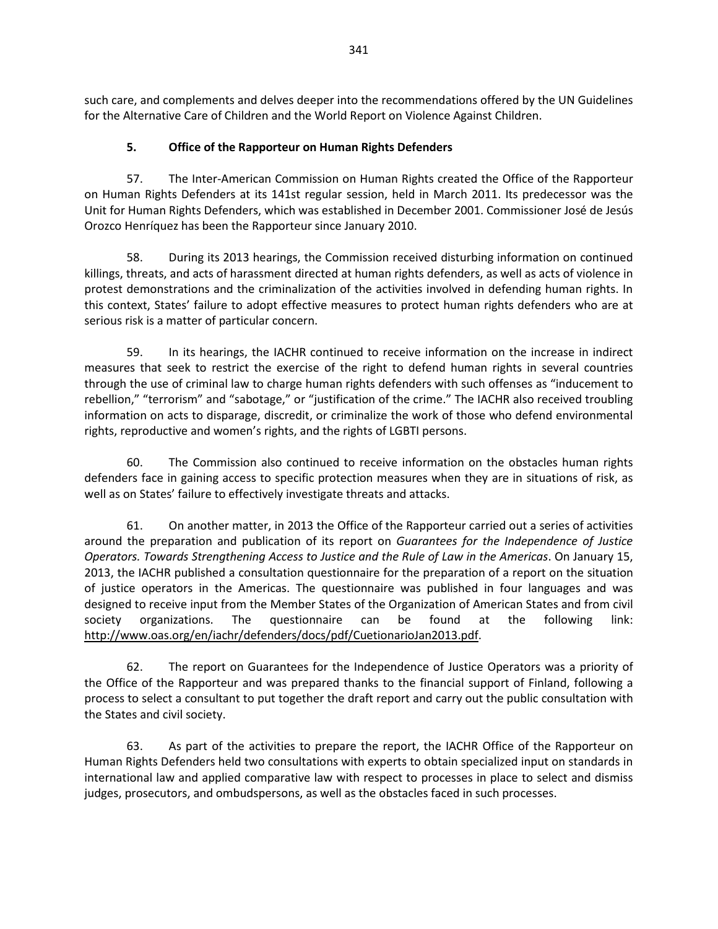such care, and complements and delves deeper into the recommendations offered by the UN Guidelines for the Alternative Care of Children and the World Report on Violence Against Children.

## **5. Office of the Rapporteur on Human Rights Defenders**

57. The Inter-American Commission on Human Rights created the Office of the Rapporteur on Human Rights Defenders at its 141st regular session, held in March 2011. Its predecessor was the Unit for Human Rights Defenders, which was established in December 2001. Commissioner José de Jesús Orozco Henríquez has been the Rapporteur since January 2010.

58. During its 2013 hearings, the Commission received disturbing information on continued killings, threats, and acts of harassment directed at human rights defenders, as well as acts of violence in protest demonstrations and the criminalization of the activities involved in defending human rights. In this context, States' failure to adopt effective measures to protect human rights defenders who are at serious risk is a matter of particular concern.

59. In its hearings, the IACHR continued to receive information on the increase in indirect measures that seek to restrict the exercise of the right to defend human rights in several countries through the use of criminal law to charge human rights defenders with such offenses as "inducement to rebellion," "terrorism" and "sabotage," or "justification of the crime." The IACHR also received troubling information on acts to disparage, discredit, or criminalize the work of those who defend environmental rights, reproductive and women's rights, and the rights of LGBTI persons.

60. The Commission also continued to receive information on the obstacles human rights defenders face in gaining access to specific protection measures when they are in situations of risk, as well as on States' failure to effectively investigate threats and attacks.

61. On another matter, in 2013 the Office of the Rapporteur carried out a series of activities around the preparation and publication of its report on *Guarantees for the Independence of Justice Operators. Towards Strengthening Access to Justice and the Rule of Law in the Americas*. On January 15, 2013, the IACHR published a consultation questionnaire for the preparation of a report on the situation of justice operators in the Americas. The questionnaire was published in four languages and was designed to receive input from the Member States of the Organization of American States and from civil society organizations. The questionnaire can be found at the following link: [http://www.oas.org/en/iachr/defenders/docs/pdf/CuetionarioJan2013.pdf.](http://www.oas.org/en/iachr/defenders/docs/pdf/CuetionarioJan2013.pdf)

62. The report on Guarantees for the Independence of Justice Operators was a priority of the Office of the Rapporteur and was prepared thanks to the financial support of Finland, following a process to select a consultant to put together the draft report and carry out the public consultation with the States and civil society.

63. As part of the activities to prepare the report, the IACHR Office of the Rapporteur on Human Rights Defenders held two consultations with experts to obtain specialized input on standards in international law and applied comparative law with respect to processes in place to select and dismiss judges, prosecutors, and ombudspersons, as well as the obstacles faced in such processes.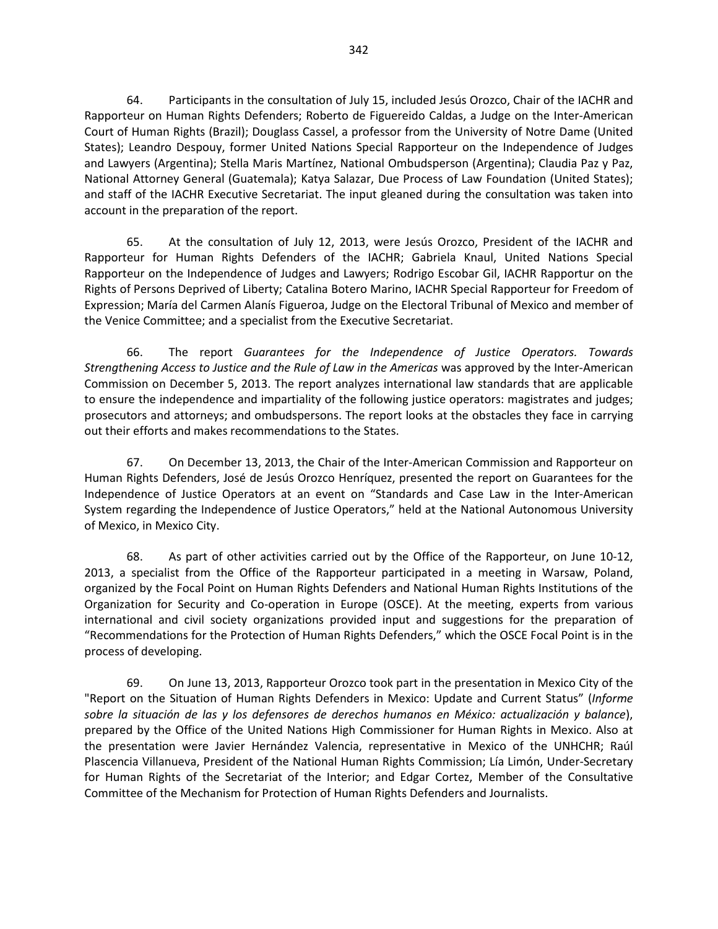64. Participants in the consultation of July 15, included Jesús Orozco, Chair of the IACHR and Rapporteur on Human Rights Defenders; Roberto de Figuereido Caldas, a Judge on the Inter-American Court of Human Rights (Brazil); Douglass Cassel, a professor from the University of Notre Dame (United States); Leandro Despouy, former United Nations Special Rapporteur on the Independence of Judges and Lawyers (Argentina); Stella Maris Martínez, National Ombudsperson (Argentina); Claudia Paz y Paz, National Attorney General (Guatemala); Katya Salazar, Due Process of Law Foundation (United States); and staff of the IACHR Executive Secretariat. The input gleaned during the consultation was taken into account in the preparation of the report.

65. At the consultation of July 12, 2013, were Jesús Orozco, President of the IACHR and Rapporteur for Human Rights Defenders of the IACHR; Gabriela Knaul, United Nations Special Rapporteur on the Independence of Judges and Lawyers; Rodrigo Escobar Gil, IACHR Rapportur on the Rights of Persons Deprived of Liberty; Catalina Botero Marino, IACHR Special Rapporteur for Freedom of Expression; María del Carmen Alanís Figueroa, Judge on the Electoral Tribunal of Mexico and member of the Venice Committee; and a specialist from the Executive Secretariat.

66. The report *Guarantees for the Independence of Justice Operators. Towards Strengthening Access to Justice and the Rule of Law in the Americas* was approved by the Inter-American Commission on December 5, 2013. The report analyzes international law standards that are applicable to ensure the independence and impartiality of the following justice operators: magistrates and judges; prosecutors and attorneys; and ombudspersons. The report looks at the obstacles they face in carrying out their efforts and makes recommendations to the States.

67. On December 13, 2013, the Chair of the Inter-American Commission and Rapporteur on Human Rights Defenders, José de Jesús Orozco Henríquez, presented the report on Guarantees for the Independence of Justice Operators at an event on "Standards and Case Law in the Inter-American System regarding the Independence of Justice Operators," held at the National Autonomous University of Mexico, in Mexico City.

68. As part of other activities carried out by the Office of the Rapporteur, on June 10-12, 2013, a specialist from the Office of the Rapporteur participated in a meeting in Warsaw, Poland, organized by the Focal Point on Human Rights Defenders and National Human Rights Institutions of the Organization for Security and Co-operation in Europe (OSCE). At the meeting, experts from various international and civil society organizations provided input and suggestions for the preparation of "Recommendations for the Protection of Human Rights Defenders," which the OSCE Focal Point is in the process of developing.

69. On June 13, 2013, Rapporteur Orozco took part in the presentation in Mexico City of the "Report on the Situation of Human Rights Defenders in Mexico: Update and Current Status" (*Informe sobre la situación de las y los defensores de derechos humanos en México: actualización y balance*), prepared by the Office of the United Nations High Commissioner for Human Rights in Mexico. Also at the presentation were Javier Hernández Valencia, representative in Mexico of the UNHCHR; Raúl Plascencia Villanueva, President of the National Human Rights Commission; Lía Limón, Under-Secretary for Human Rights of the Secretariat of the Interior; and Edgar Cortez, Member of the Consultative Committee of the Mechanism for Protection of Human Rights Defenders and Journalists.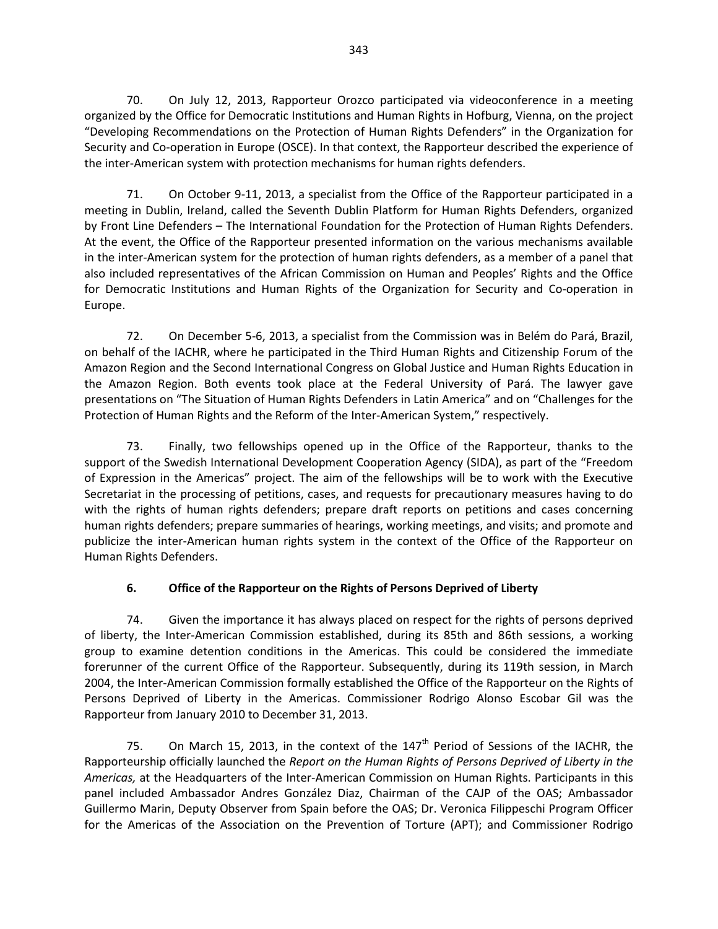70. On July 12, 2013, Rapporteur Orozco participated via videoconference in a meeting organized by the Office for Democratic Institutions and Human Rights in Hofburg, Vienna, on the project "Developing Recommendations on the Protection of Human Rights Defenders" in the Organization for Security and Co-operation in Europe (OSCE). In that context, the Rapporteur described the experience of the inter-American system with protection mechanisms for human rights defenders.

71. On October 9-11, 2013, a specialist from the Office of the Rapporteur participated in a meeting in Dublin, Ireland, called the Seventh Dublin Platform for Human Rights Defenders, organized by Front Line Defenders – The International Foundation for the Protection of Human Rights Defenders. At the event, the Office of the Rapporteur presented information on the various mechanisms available in the inter-American system for the protection of human rights defenders, as a member of a panel that also included representatives of the African Commission on Human and Peoples' Rights and the Office for Democratic Institutions and Human Rights of the Organization for Security and Co-operation in Europe.

72. On December 5-6, 2013, a specialist from the Commission was in Belém do Pará, Brazil, on behalf of the IACHR, where he participated in the Third Human Rights and Citizenship Forum of the Amazon Region and the Second International Congress on Global Justice and Human Rights Education in the Amazon Region. Both events took place at the Federal University of Pará. The lawyer gave presentations on "The Situation of Human Rights Defenders in Latin America" and on "Challenges for the Protection of Human Rights and the Reform of the Inter-American System," respectively.

73. Finally, two fellowships opened up in the Office of the Rapporteur, thanks to the support of the Swedish International Development Cooperation Agency (SIDA), as part of the "Freedom of Expression in the Americas" project. The aim of the fellowships will be to work with the Executive Secretariat in the processing of petitions, cases, and requests for precautionary measures having to do with the rights of human rights defenders; prepare draft reports on petitions and cases concerning human rights defenders; prepare summaries of hearings, working meetings, and visits; and promote and publicize the inter-American human rights system in the context of the Office of the Rapporteur on Human Rights Defenders.

## **6. Office of the Rapporteur on the Rights of Persons Deprived of Liberty**

74. Given the importance it has always placed on respect for the rights of persons deprived of liberty, the Inter-American Commission established, during its 85th and 86th sessions, a working group to examine detention conditions in the Americas. This could be considered the immediate forerunner of the current Office of the Rapporteur. Subsequently, during its 119th session, in March 2004, the Inter-American Commission formally established the Office of the Rapporteur on the Rights of Persons Deprived of Liberty in the Americas. Commissioner Rodrigo Alonso Escobar Gil was the Rapporteur from January 2010 to December 31, 2013.

75. On March 15, 2013, in the context of the  $147<sup>th</sup>$  Period of Sessions of the IACHR, the Rapporteurship officially launched the *Report on the Human Rights of Persons Deprived of Liberty in the Americas,* at the Headquarters of the Inter-American Commission on Human Rights. Participants in this panel included Ambassador Andres González Diaz, Chairman of the CAJP of the OAS; Ambassador Guillermo Marin, Deputy Observer from Spain before the OAS; Dr. Veronica Filippeschi Program Officer for the Americas of the Association on the Prevention of Torture (APT); and Commissioner Rodrigo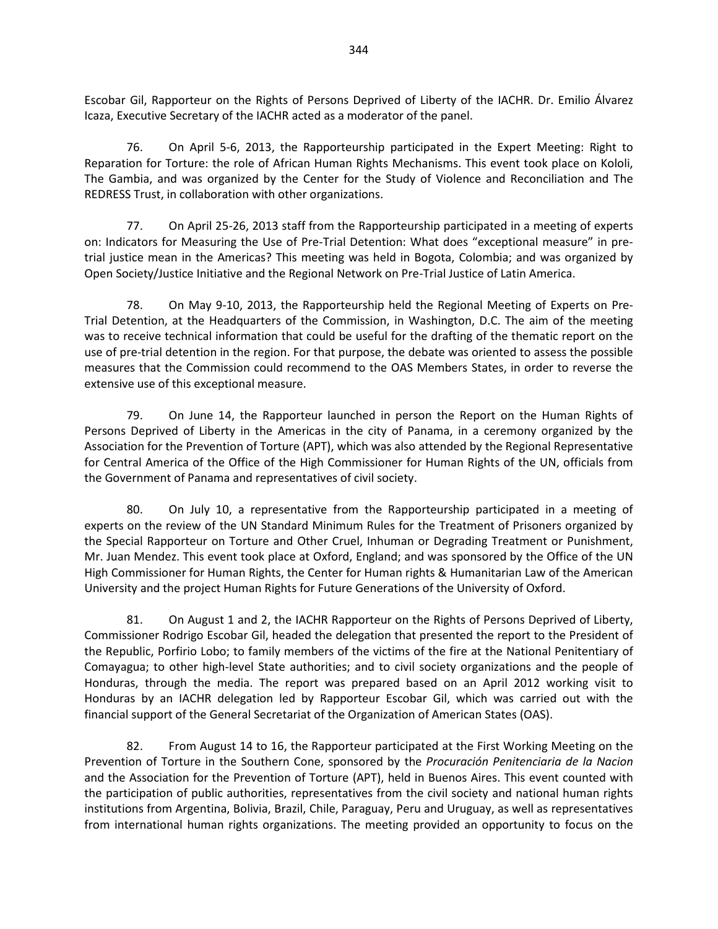Escobar Gil, Rapporteur on the Rights of Persons Deprived of Liberty of the IACHR. Dr. Emilio Álvarez Icaza, Executive Secretary of the IACHR acted as a moderator of the panel.

76. On April 5-6, 2013, the Rapporteurship participated in the Expert Meeting: Right to Reparation for Torture: the role of African Human Rights Mechanisms. This event took place on Kololi, The Gambia, and was organized by the Center for the Study of Violence and Reconciliation and The REDRESS Trust, in collaboration with other organizations.

77. On April 25-26, 2013 staff from the Rapporteurship participated in a meeting of experts on: Indicators for Measuring the Use of Pre-Trial Detention: What does "exceptional measure" in pretrial justice mean in the Americas? This meeting was held in Bogota, Colombia; and was organized by Open Society/Justice Initiative and the Regional Network on Pre-Trial Justice of Latin America.

78. On May 9-10, 2013, the Rapporteurship held the Regional Meeting of Experts on Pre-Trial Detention, at the Headquarters of the Commission, in Washington, D.C. The aim of the meeting was to receive technical information that could be useful for the drafting of the thematic report on the use of pre-trial detention in the region. For that purpose, the debate was oriented to assess the possible measures that the Commission could recommend to the OAS Members States, in order to reverse the extensive use of this exceptional measure.

79. On June 14, the Rapporteur launched in person the Report on the Human Rights of Persons Deprived of Liberty in the Americas in the city of Panama, in a ceremony organized by the Association for the Prevention of Torture (APT), which was also attended by the Regional Representative for Central America of the Office of the High Commissioner for Human Rights of the UN, officials from the Government of Panama and representatives of civil society.

80. On July 10, a representative from the Rapporteurship participated in a meeting of experts on the review of the UN Standard Minimum Rules for the Treatment of Prisoners organized by the Special Rapporteur on Torture and Other Cruel, Inhuman or Degrading Treatment or Punishment, Mr. Juan Mendez. This event took place at Oxford, England; and was sponsored by the Office of the UN High Commissioner for Human Rights, the Center for Human rights & Humanitarian Law of the American University and the project Human Rights for Future Generations of the University of Oxford.

81. On August 1 and 2, the IACHR Rapporteur on the Rights of Persons Deprived of Liberty, Commissioner Rodrigo Escobar Gil, headed the delegation that presented the report to the President of the Republic, Porfirio Lobo; to family members of the victims of the fire at the National Penitentiary of Comayagua; to other high-level State authorities; and to civil society organizations and the people of Honduras, through the media. The report was prepared based on an April 2012 working visit to Honduras by an IACHR delegation led by Rapporteur Escobar Gil, which was carried out with the financial support of the General Secretariat of the Organization of American States (OAS).

82. From August 14 to 16, the Rapporteur participated at the First Working Meeting on the Prevention of Torture in the Southern Cone, sponsored by the *Procuración Penitenciaria de la Nacion*  and the Association for the Prevention of Torture (APT), held in Buenos Aires. This event counted with the participation of public authorities, representatives from the civil society and national human rights institutions from Argentina, Bolivia, Brazil, Chile, Paraguay, Peru and Uruguay, as well as representatives from international human rights organizations. The meeting provided an opportunity to focus on the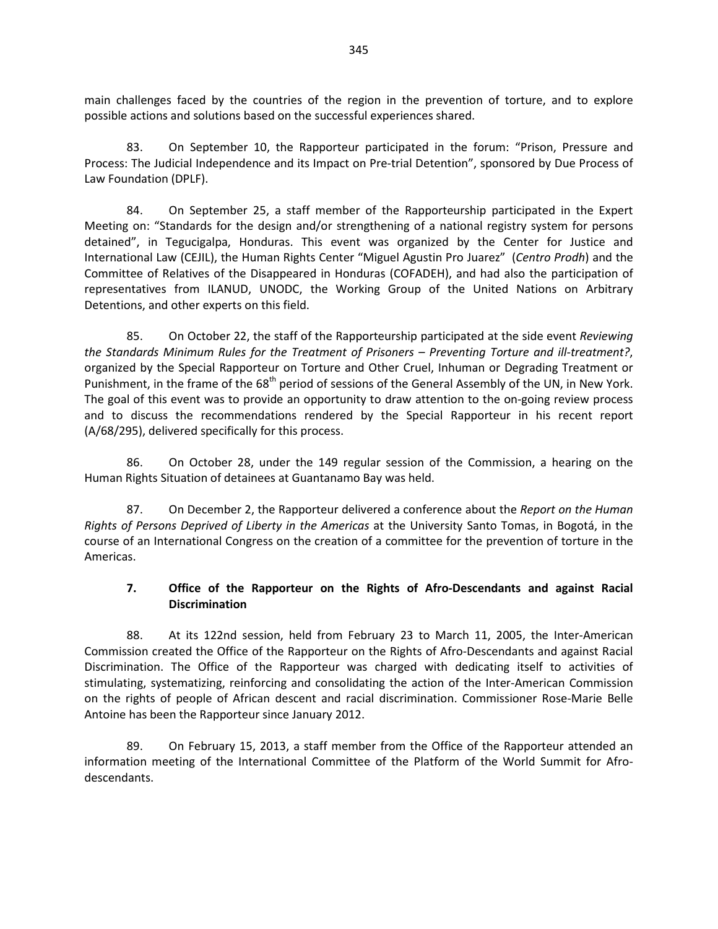main challenges faced by the countries of the region in the prevention of torture, and to explore possible actions and solutions based on the successful experiences shared.

83. On September 10, the Rapporteur participated in the forum: "Prison, Pressure and Process: The Judicial Independence and its Impact on Pre-trial Detention", sponsored by Due Process of Law Foundation (DPLF).

84. On September 25, a staff member of the Rapporteurship participated in the Expert Meeting on: "Standards for the design and/or strengthening of a national registry system for persons detained", in Tegucigalpa, Honduras. This event was organized by the Center for Justice and International Law (CEJIL), the Human Rights Center "Miguel Agustin Pro Juarez" (*Centro Prodh*) and the Committee of Relatives of the Disappeared in Honduras (COFADEH), and had also the participation of representatives from ILANUD, UNODC, the Working Group of the United Nations on Arbitrary Detentions, and other experts on this field.

85. On October 22, the staff of the Rapporteurship participated at the side event *Reviewing the Standards Minimum Rules for the Treatment of Prisoners – Preventing Torture and ill-treatment?*, organized by the Special Rapporteur on Torture and Other Cruel, Inhuman or Degrading Treatment or Punishment, in the frame of the 68<sup>th</sup> period of sessions of the General Assembly of the UN, in New York. The goal of this event was to provide an opportunity to draw attention to the on-going review process and to discuss the recommendations rendered by the Special Rapporteur in his recent report (A/68/295), delivered specifically for this process.

86. On October 28, under the 149 regular session of the Commission, a hearing on the Human Rights Situation of detainees at Guantanamo Bay was held.

87. On December 2, the Rapporteur delivered a conference about the *Report on the Human Rights of Persons Deprived of Liberty in the Americas* at the University Santo Tomas, in Bogotá, in the course of an International Congress on the creation of a committee for the prevention of torture in the Americas.

#### **7. Office of the Rapporteur on the Rights of Afro-Descendants and against Racial Discrimination**

88. At its 122nd session, held from February 23 to March 11, 2005, the Inter-American Commission created the Office of the Rapporteur on the Rights of Afro-Descendants and against Racial Discrimination. The Office of the Rapporteur was charged with dedicating itself to activities of stimulating, systematizing, reinforcing and consolidating the action of the Inter-American Commission on the rights of people of African descent and racial discrimination. Commissioner Rose-Marie Belle Antoine has been the Rapporteur since January 2012.

89. On February 15, 2013, a staff member from the Office of the Rapporteur attended an information meeting of the International Committee of the Platform of the World Summit for Afrodescendants.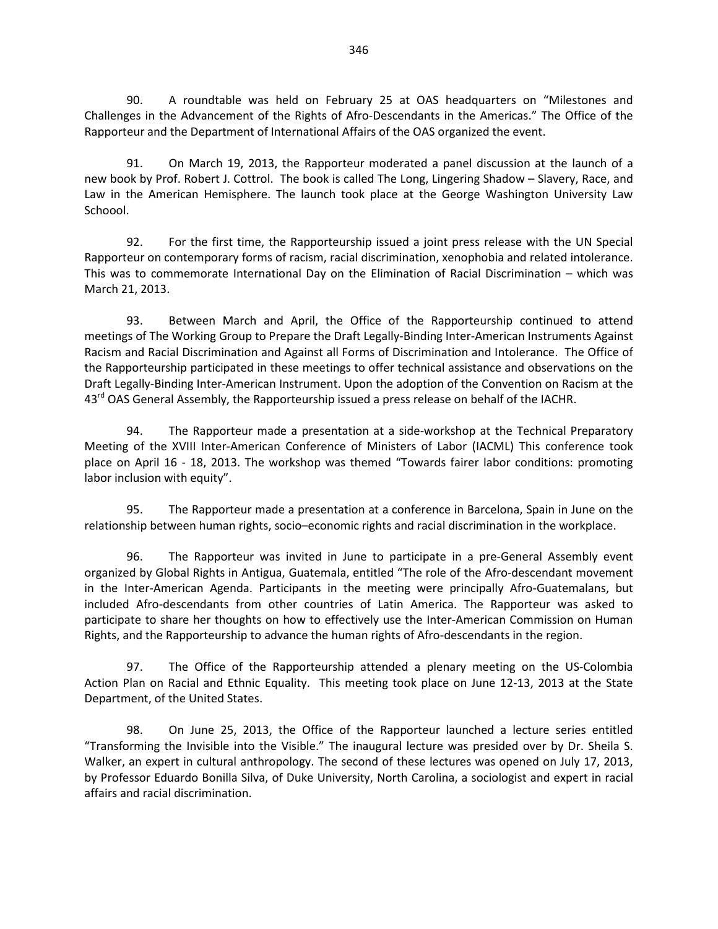90. A roundtable was held on February 25 at OAS headquarters on "Milestones and Challenges in the Advancement of the Rights of Afro-Descendants in the Americas." The Office of the Rapporteur and the Department of International Affairs of the OAS organized the event.

91. On March 19, 2013, the Rapporteur moderated a panel discussion at the launch of a new book by Prof. Robert J. Cottrol. The book is called The Long, Lingering Shadow – Slavery, Race, and Law in the American Hemisphere. The launch took place at the George Washington University Law Schoool.

92. For the first time, the Rapporteurship issued a joint press release with the UN Special Rapporteur on contemporary forms of racism, racial discrimination, xenophobia and related intolerance. This was to commemorate International Day on the Elimination of Racial Discrimination – which was March 21, 2013.

93. Between March and April, the Office of the Rapporteurship continued to attend meetings of The Working Group to Prepare the Draft Legally-Binding Inter-American Instruments Against Racism and Racial Discrimination and Against all Forms of Discrimination and Intolerance. The Office of the Rapporteurship participated in these meetings to offer technical assistance and observations on the Draft Legally-Binding Inter-American Instrument. Upon the adoption of the Convention on Racism at the 43<sup>rd</sup> OAS General Assembly, the Rapporteurship issued a press release on behalf of the IACHR.

94. The Rapporteur made a presentation at a side-workshop at the Technical Preparatory Meeting of the XVIII Inter-American Conference of Ministers of Labor (IACML) This conference took place on April 16 - 18, 2013. The workshop was themed "Towards fairer labor conditions: promoting labor inclusion with equity".

95. The Rapporteur made a presentation at a conference in Barcelona, Spain in June on the relationship between human rights, socio–economic rights and racial discrimination in the workplace.

96. The Rapporteur was invited in June to participate in a pre-General Assembly event organized by Global Rights in Antigua, Guatemala, entitled "The role of the Afro-descendant movement in the Inter-American Agenda. Participants in the meeting were principally Afro-Guatemalans, but included Afro-descendants from other countries of Latin America. The Rapporteur was asked to participate to share her thoughts on how to effectively use the Inter-American Commission on Human Rights, and the Rapporteurship to advance the human rights of Afro-descendants in the region.

97. The Office of the Rapporteurship attended a plenary meeting on the US-Colombia Action Plan on Racial and Ethnic Equality. This meeting took place on June 12-13, 2013 at the State Department, of the United States.

98. On June 25, 2013, the Office of the Rapporteur launched a lecture series entitled "Transforming the Invisible into the Visible." The inaugural lecture was presided over by Dr. Sheila S. Walker, an expert in cultural anthropology. The second of these lectures was opened on July 17, 2013, by Professor Eduardo Bonilla Silva, of Duke University, North Carolina, a sociologist and expert in racial affairs and racial discrimination.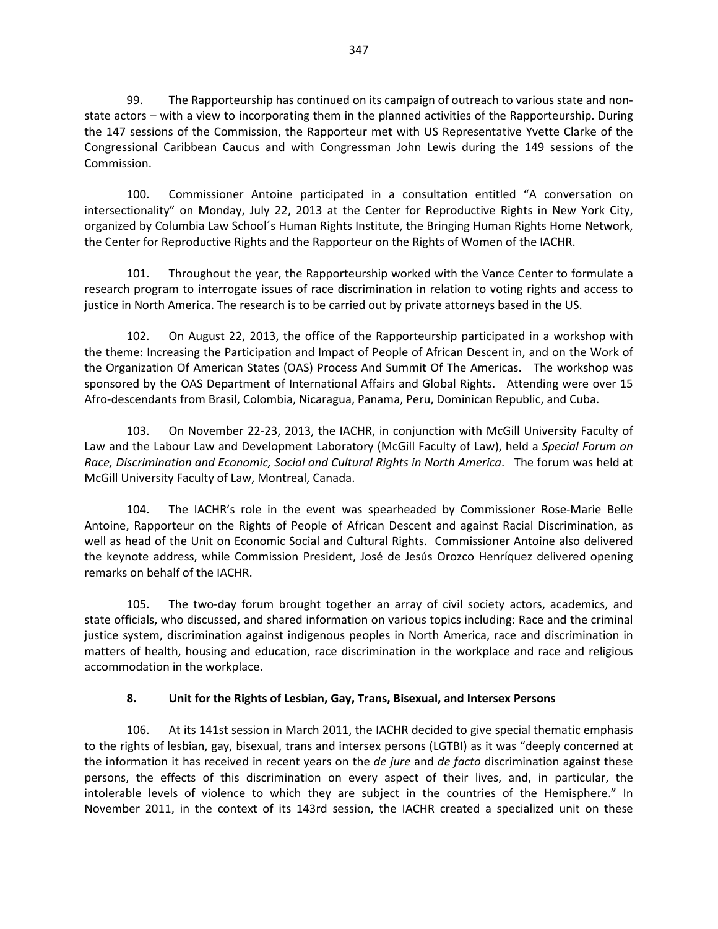99. The Rapporteurship has continued on its campaign of outreach to various state and nonstate actors – with a view to incorporating them in the planned activities of the Rapporteurship. During the 147 sessions of the Commission, the Rapporteur met with US Representative Yvette Clarke of the Congressional Caribbean Caucus and with Congressman John Lewis during the 149 sessions of the Commission.

100. Commissioner Antoine participated in a consultation entitled "A conversation on intersectionality" on Monday, July 22, 2013 at the Center for Reproductive Rights in New York City, organized by Columbia Law School´s Human Rights Institute, the Bringing Human Rights Home Network, the Center for Reproductive Rights and the Rapporteur on the Rights of Women of the IACHR.

101. Throughout the year, the Rapporteurship worked with the Vance Center to formulate a research program to interrogate issues of race discrimination in relation to voting rights and access to justice in North America. The research is to be carried out by private attorneys based in the US.

102. On August 22, 2013, the office of the Rapporteurship participated in a workshop with the theme: Increasing the Participation and Impact of People of African Descent in, and on the Work of the Organization Of American States (OAS) Process And Summit Of The Americas. The workshop was sponsored by the OAS Department of International Affairs and Global Rights. Attending were over 15 Afro-descendants from Brasil, Colombia, Nicaragua, Panama, Peru, Dominican Republic, and Cuba.

103. On November 22-23, 2013, the IACHR, in conjunction with McGill University Faculty of Law and the Labour Law and Development Laboratory (McGill Faculty of Law), held a *Special Forum on Race, Discrimination and Economic, Social and Cultural Rights in North America*. The forum was held at McGill University Faculty of Law, Montreal, Canada.

104. The IACHR's role in the event was spearheaded by Commissioner Rose-Marie Belle Antoine, Rapporteur on the Rights of People of African Descent and against Racial Discrimination, as well as head of the Unit on Economic Social and Cultural Rights. Commissioner Antoine also delivered the keynote address, while Commission President, José de Jesús Orozco Henríquez delivered opening remarks on behalf of the IACHR.

105. The two-day forum brought together an array of civil society actors, academics, and state officials, who discussed, and shared information on various topics including: Race and the criminal justice system, discrimination against indigenous peoples in North America, race and discrimination in matters of health, housing and education, race discrimination in the workplace and race and religious accommodation in the workplace.

#### **8. Unit for the Rights of Lesbian, Gay, Trans, Bisexual, and Intersex Persons**

106. At its 141st session in March 2011, the IACHR [decided to give](http://www.oas.org/es/cidh/prensa/comunicados/2011/028A.asp) special thematic emphasis to the rights of lesbian, gay, bisexual, trans and intersex persons (LGTBI) as it was "deeply concerned at the information it has received in recent years on the *de jure* and *de facto* discrimination against these persons, the effects of this discrimination on every aspect of their lives, and, in particular, the intolerable levels of violence to which they are subject in the countries of the Hemisphere." In November 2011, in the context of its 143rd session, the IACHR [created](http://www.oas.org/es/cidh/prensa/Comunicados/2011/115.asp) a specialized unit on these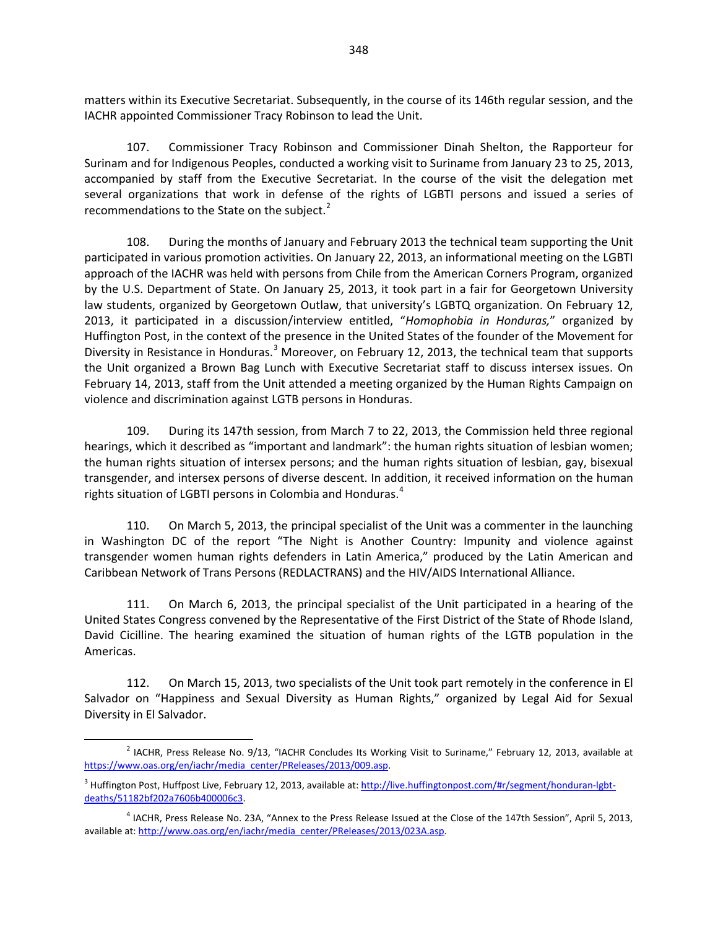matters within its Executive Secretariat. Subsequently, in the course of its 146th regular session, and the IACHR appointed Commissioner Tracy Robinson to lead the Unit.

107. Commissioner Tracy Robinson and Commissioner Dinah Shelton, the Rapporteur for Surinam and for Indigenous Peoples, conducted a working visit to Suriname from January 23 to 25, 2013, accompanied by staff from the Executive Secretariat. In the course of the visit the delegation met several organizations that work in defense of the rights of LGBTI persons and issued a series of recommendations to the State on the subject.<sup>[2](#page-17-0)</sup>

108. During the months of January and February 2013 the technical team supporting the Unit participated in various promotion activities. On January 22, 2013, an informational meeting on the LGBTI approach of the IACHR was held with persons from Chile from the American Corners Program, organized by the U.S. Department of State. On January 25, 2013, it took part in a fair for Georgetown University law students, organized by Georgetown Outlaw, that university's LGBTQ organization. On February 12, 2013, it participated in a discussion/interview entitled, "*Homophobia in Honduras,*" organized by Huffington Post, in the context of the presence in the United States of the founder of the Movement for Diversity in Resistance in Honduras.<sup>[3](#page-17-1)</sup> Moreover, on February 12, 2013, the technical team that supports the Unit organized a Brown Bag Lunch with Executive Secretariat staff to discuss intersex issues. On February 14, 2013, staff from the Unit attended a meeting organized by the Human Rights Campaign on violence and discrimination against LGTB persons in Honduras.

109. During its 147th session, from March 7 to 22, 2013, the Commission held three regional hearings, which it described as "important and landmark": the human rights situation of lesbian women; the human rights situation of intersex persons; and the human rights situation of lesbian, gay, bisexual transgender, and intersex persons of diverse descent. In addition, it received information on the human rights situation of LGBTI persons in Colombia and Honduras.<sup>[4](#page-17-2)</sup>

110. On March 5, 2013, the principal specialist of the Unit was a commenter in the launching in Washington DC of the report "The Night is Another Country: Impunity and violence against transgender women human rights defenders in Latin America," produced by the Latin American and Caribbean Network of Trans Persons (REDLACTRANS) and the HIV/AIDS International Alliance.

111. On March 6, 2013, the principal specialist of the Unit participated in a hearing of the United States Congress convened by the Representative of the First District of the State of Rhode Island, David Cicilline. The hearing examined the situation of human rights of the LGTB population in the Americas.

112. On March 15, 2013, two specialists of the Unit took part remotely in the conference in El Salvador on "Happiness and Sexual Diversity as Human Rights," organized by Legal Aid for Sexual Diversity in El Salvador.

<span id="page-17-0"></span> $<sup>2</sup>$  IACHR, Press Release No. 9/13, "IACHR Concludes Its Working Visit to Suriname," February 12, 2013, available at</sup> [https://www.oas.org/en/iachr/media\\_center/PReleases/2013/009.asp.](https://www.oas.org/en/iachr/media_center/PReleases/2013/009.asp)

<span id="page-17-1"></span><sup>&</sup>lt;sup>3</sup> Huffington Post, Huffpost Live, February 12, 2013, available at[: http://live.huffingtonpost.com/#r/segment/honduran-lgbt](http://live.huffingtonpost.com/#r/segment/honduran-lgbt-deaths/51182bf202a7606b400006c3)[deaths/51182bf202a7606b400006c3.](http://live.huffingtonpost.com/#r/segment/honduran-lgbt-deaths/51182bf202a7606b400006c3)

<span id="page-17-2"></span><sup>&</sup>lt;sup>4</sup> IACHR, Press Release No. 23A, "Annex to the Press Release Issued at the Close of the 147th Session", April 5, 2013, available at[: http://www.oas.org/en/iachr/media\\_center/PReleases/2013/023A.asp.](http://www.oas.org/en/iachr/media_center/PReleases/2013/023A.asp)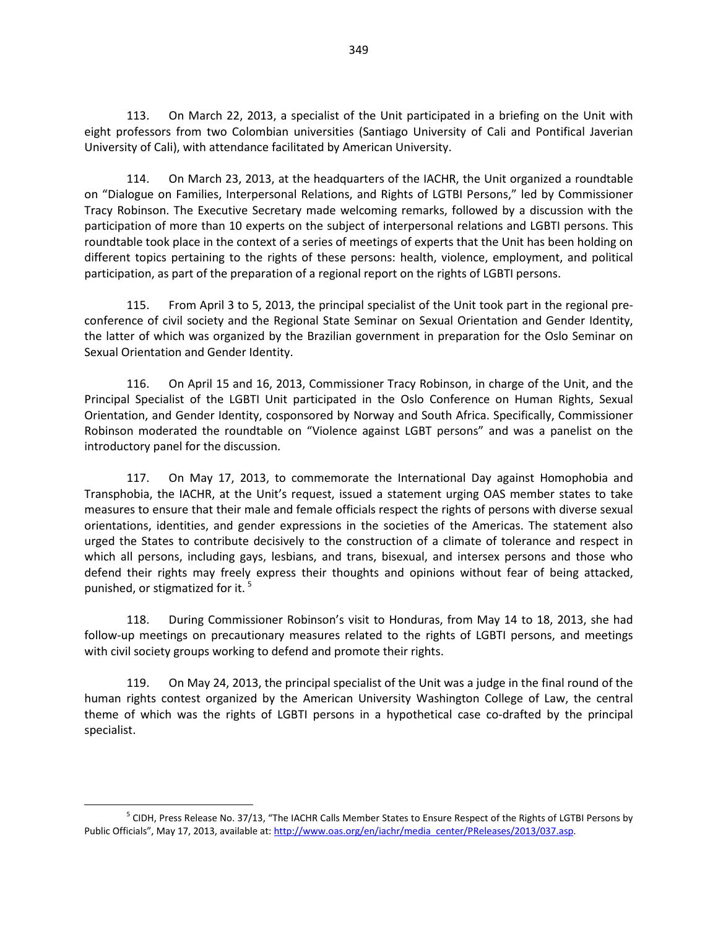113. On March 22, 2013, a specialist of the Unit participated in a briefing on the Unit with eight professors from two Colombian universities (Santiago University of Cali and Pontifical Javerian University of Cali), with attendance facilitated by American University.

114. On March 23, 2013, at the headquarters of the IACHR, the Unit organized a roundtable on "Dialogue on Families, Interpersonal Relations, and Rights of LGTBI Persons," led by Commissioner Tracy Robinson. The Executive Secretary made welcoming remarks, followed by a discussion with the participation of more than 10 experts on the subject of interpersonal relations and LGBTI persons. This roundtable took place in the context of a series of meetings of experts that the Unit has been holding on different topics pertaining to the rights of these persons: health, violence, employment, and political participation, as part of the preparation of a regional report on the rights of LGBTI persons.

115. From April 3 to 5, 2013, the principal specialist of the Unit took part in the regional preconference of civil society and the Regional State Seminar on Sexual Orientation and Gender Identity, the latter of which was organized by the Brazilian government in preparation for the Oslo Seminar on Sexual Orientation and Gender Identity.

116. On April 15 and 16, 2013, Commissioner Tracy Robinson, in charge of the Unit, and the Principal Specialist of the LGBTI Unit participated in the Oslo Conference on Human Rights, Sexual Orientation, and Gender Identity, cosponsored by Norway and South Africa. Specifically, Commissioner Robinson moderated the roundtable on "Violence against LGBT persons" and was a panelist on the introductory panel for the discussion.

117. On May 17, 2013, to commemorate the International Day against Homophobia and Transphobia, the IACHR, at the Unit's request, issued a statement urging OAS member states to take measures to ensure that their male and female officials respect the rights of persons with diverse sexual orientations, identities, and gender expressions in the societies of the Americas. The statement also urged the States to contribute decisively to the construction of a climate of tolerance and respect in which all persons, including gays, lesbians, and trans, bisexual, and intersex persons and those who defend their rights may freely express their thoughts and opinions without fear of being attacked, punished, or stigmatized for it.<sup>[5](#page-18-0)</sup>

118. During Commissioner Robinson's visit to Honduras, from May 14 to 18, 2013, she had follow-up meetings on precautionary measures related to the rights of LGBTI persons, and meetings with civil society groups working to defend and promote their rights.

119. On May 24, 2013, the principal specialist of the Unit was a judge in the final round of the human rights contest organized by the American University Washington College of Law, the central theme of which was the rights of LGBTI persons in a hypothetical case co-drafted by the principal specialist.

<span id="page-18-0"></span><sup>&</sup>lt;sup>5</sup> CIDH, Press Release No. 37/13, "The IACHR Calls Member States to Ensure Respect of the Rights of LGTBI Persons by Public Officials", May 17, 2013, available at[: http://www.oas.org/en/iachr/media\\_center/PReleases/2013/037.asp.](http://www.oas.org/en/iachr/media_center/PReleases/2013/037.asp)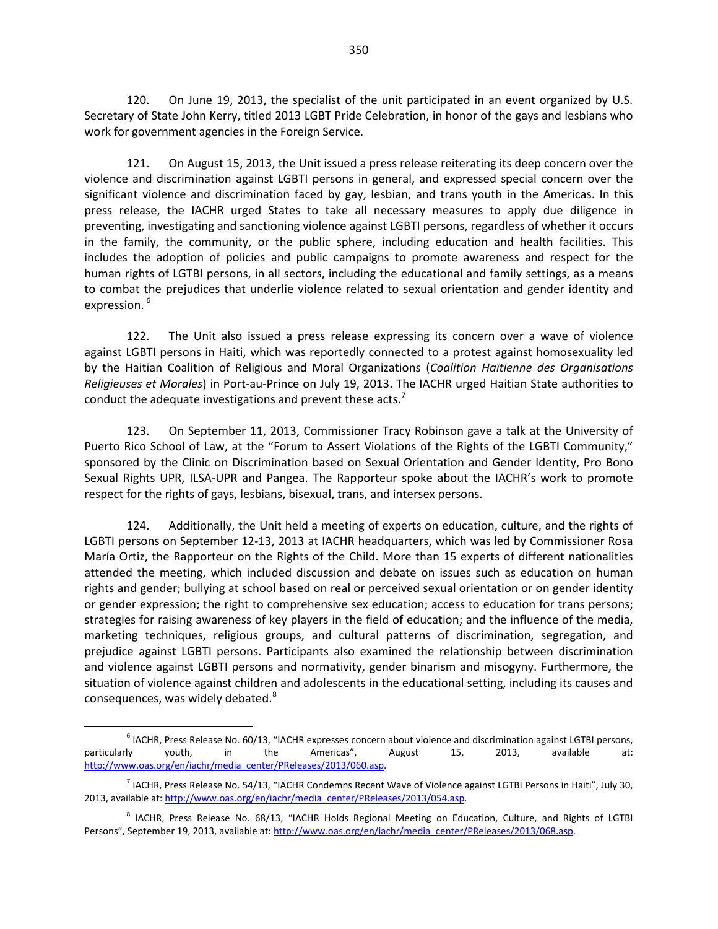120. On June 19, 2013, the specialist of the unit participated in an event organized by U.S. Secretary of State John Kerry, titled 2013 LGBT Pride Celebration, in honor of the gays and lesbians who work for government agencies in the Foreign Service.

121. On August 15, 2013, the Unit issued a press release reiterating its deep concern over the violence and discrimination against LGBTI persons in general, and expressed special concern over the significant violence and discrimination faced by gay, lesbian, and trans youth in the Americas. In this press release, the IACHR urged States to take all necessary measures to apply due diligence in preventing, investigating and sanctioning violence against LGBTI persons, regardless of whether it occurs in the family, the community, or the public sphere, including education and health facilities. This includes the adoption of policies and public campaigns to promote awareness and respect for the human rights of LGTBI persons, in all sectors, including the educational and family settings, as a means to combat the prejudices that underlie violence related to sexual orientation and gender identity and expression.<sup>[6](#page-19-0)</sup>

122. The Unit also issued a press release expressing its concern over a wave of violence against LGBTI persons in Haiti, which was reportedly connected to a protest against homosexuality led by the Haitian Coalition of Religious and Moral Organizations (*Coalition Haïtienne des Organisations Religieuses et Morales*) in Port-au-Prince on July 19, 2013. The IACHR urged Haitian State authorities to conduct the adequate investigations and prevent these acts.<sup>[7](#page-19-1)</sup>

123. On September 11, 2013, Commissioner Tracy Robinson gave a talk at the University of Puerto Rico School of Law, at the "Forum to Assert Violations of the Rights of the LGBTI Community," sponsored by the Clinic on Discrimination based on Sexual Orientation and Gender Identity, Pro Bono Sexual Rights UPR, ILSA-UPR and Pangea. The Rapporteur spoke about the IACHR's work to promote respect for the rights of gays, lesbians, bisexual, trans, and intersex persons.

124. Additionally, the Unit held a meeting of experts on education, culture, and the rights of LGBTI persons on September 12-13, 2013 at IACHR headquarters, which was led by Commissioner Rosa María Ortiz, the Rapporteur on the Rights of the Child. More than 15 experts of different nationalities attended the meeting, which included discussion and debate on issues such as education on human rights and gender; bullying at school based on real or perceived sexual orientation or on gender identity or gender expression; the right to comprehensive sex education; access to education for trans persons; strategies for raising awareness of key players in the field of education; and the influence of the media, marketing techniques, religious groups, and cultural patterns of discrimination, segregation, and prejudice against LGBTI persons. Participants also examined the relationship between discrimination and violence against LGBTI persons and normativity, gender binarism and misogyny. Furthermore, the situation of violence against children and adolescents in the educational setting, including its causes and consequences, was widely debated.<sup>[8](#page-19-2)</sup>

<span id="page-19-0"></span> $<sup>6</sup>$  IACHR, Press Release No. 60/13, "IACHR expresses concern about violence and discrimination against LGTBI persons,</sup> particularly youth, in the Americas", August 15, 2013, available at: [http://www.oas.org/en/iachr/media\\_center/PReleases/2013/060.asp.](http://www.oas.org/en/iachr/media_center/PReleases/2013/060.asp)

<span id="page-19-1"></span><sup>7</sup> IACHR, Press Release No. 54/13, "IACHR Condemns Recent Wave of Violence against LGTBI Persons in Haiti", July 30, 2013, available at: http://www.oas.org/en/iachr/media\_center/PReleases/2013/054.asp.

<span id="page-19-2"></span><sup>8</sup> IACHR, Press Release No. 68/13, "IACHR Holds Regional Meeting on Education, Culture, and Rights of LGTBI Persons", September 19, 2013, available at[: http://www.oas.org/en/iachr/media\\_center/PReleases/2013/068.asp.](http://www.oas.org/en/iachr/media_center/PReleases/2013/068.asp)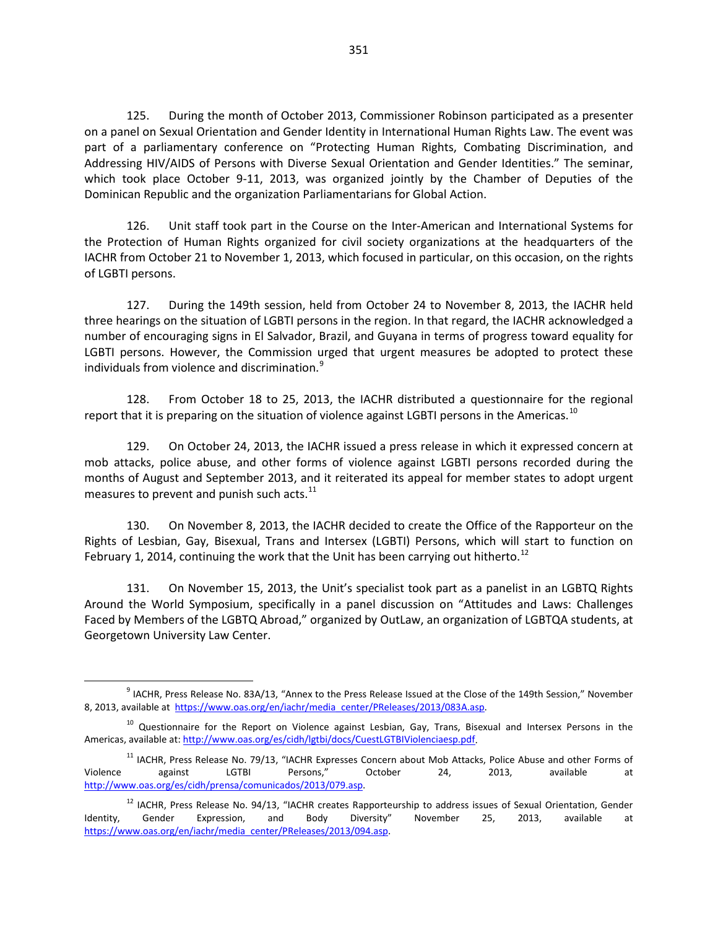125. During the month of October 2013, Commissioner Robinson participated as a presenter on a panel on Sexual Orientation and Gender Identity in International Human Rights Law. The event was part of a parliamentary conference on "Protecting Human Rights, Combating Discrimination, and Addressing HIV/AIDS of Persons with Diverse Sexual Orientation and Gender Identities." The seminar, which took place October 9-11, 2013, was organized jointly by the Chamber of Deputies of the Dominican Republic and the organization Parliamentarians for Global Action.

126. Unit staff took part in the Course on the Inter-American and International Systems for the Protection of Human Rights organized for civil society organizations at the headquarters of the IACHR from October 21 to November 1, 2013, which focused in particular, on this occasion, on the rights of LGBTI persons.

127. During the 149th session, held from October 24 to November 8, 2013, the IACHR held three hearings on the situation of LGBTI persons in the region. In that regard, the IACHR acknowledged a number of encouraging signs in El Salvador, Brazil, and Guyana in terms of progress toward equality for LGBTI persons. However, the Commission urged that urgent measures be adopted to protect these individuals from violence and discrimination.<sup>[9](#page-20-0)</sup>

128. From October 18 to 25, 2013, the IACHR distributed a questionnaire for the regional report that it is preparing on the situation of violence against LGBTI persons in the Americas.<sup>[10](#page-20-1)</sup>

129. On October 24, 2013, the IACHR issued a press release in which it expressed concern at mob attacks, police abuse, and other forms of violence against LGBTI persons recorded during the months of August and September 2013, and it reiterated its appeal for member states to adopt urgent measures to prevent and punish such acts.<sup>[11](#page-20-2)</sup>

130. On November 8, 2013, the IACHR decided to create the Office of the Rapporteur on the Rights of Lesbian, Gay, Bisexual, Trans and Intersex (LGBTI) Persons, which will start to function on February 1, 2014, continuing the work that the Unit has been carrying out hitherto.<sup>[12](#page-20-3)</sup>

131. On November 15, 2013, the Unit's specialist took part as a panelist in an LGBTQ Rights Around the World Symposium, specifically in a panel discussion on "Attitudes and Laws: Challenges Faced by Members of the LGBTQ Abroad," organized by OutLaw, an organization of LGBTQA students, at Georgetown University Law Center.

<span id="page-20-0"></span><sup>9</sup> IACHR, Press Release No. 83A/13, "Annex to the Press Release Issued at the Close of the 149th Session," November 8, 2013, available at [https://www.oas.org/en/iachr/media\\_center/PReleases/2013/083A.asp.](https://www.oas.org/en/iachr/media_center/PReleases/2013/083A.asp)

<span id="page-20-1"></span><sup>&</sup>lt;sup>10</sup> Questionnaire for the Report on Violence against Lesbian, Gay, Trans, Bisexual and Intersex Persons in the Americas, available at: http://www.oas.org/es/cidh/lgtbi/docs/CuestLGTBIViolenciaesp.pdf.

<span id="page-20-2"></span><sup>&</sup>lt;sup>11</sup> IACHR, Press Release No. 79/13, "IACHR Expresses Concern about Mob Attacks, Police Abuse and other Forms of Violence against LGTBI Persons," October 24, 2013, available at [http://www.oas.org/es/cidh/prensa/comunicados/2013/079.asp.](http://www.oas.org/es/cidh/prensa/comunicados/2013/079.asp)

<span id="page-20-3"></span><sup>&</sup>lt;sup>12</sup> IACHR, Press Release No. 94/13, "IACHR creates Rapporteurship to address issues of Sexual Orientation, Gender Identity, Gender Expression, and Body Diversity" November 25, 2013, available at [https://www.oas.org/en/iachr/media\\_center/PReleases/2013/094.asp.](https://www.oas.org/en/iachr/media_center/PReleases/2013/094.asp)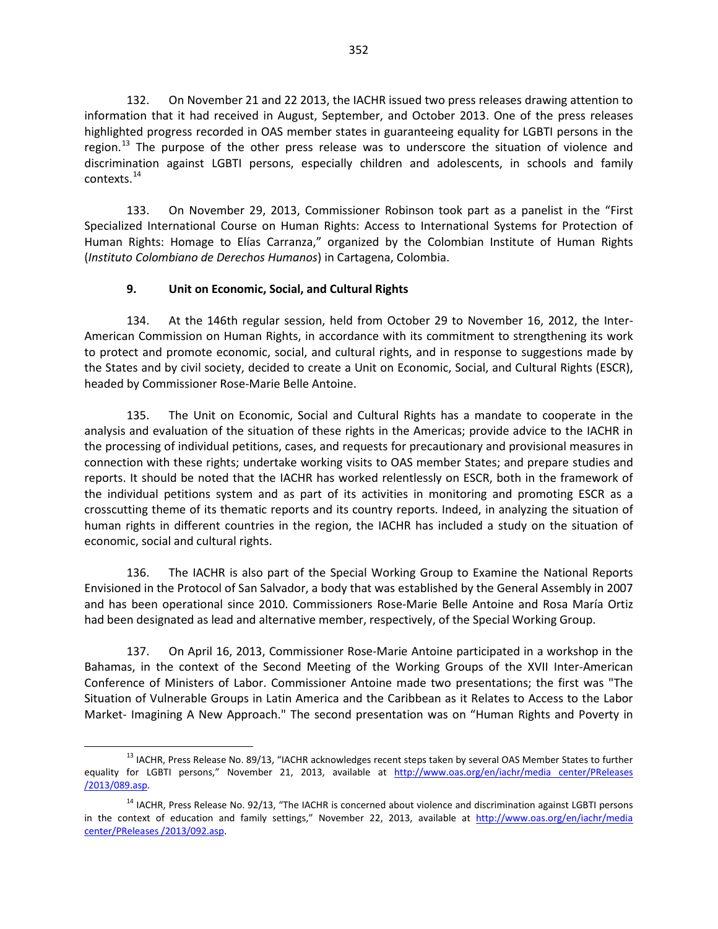132. On November 21 and 22 2013, the IACHR issued two press releases drawing attention to information that it had received in August, September, and October 2013. One of the press releases highlighted progress recorded in OAS member states in guaranteeing equality for LGBTI persons in the region.<sup>[13](#page-21-0)</sup> The purpose of the other press release was to underscore the situation of violence and discrimination against LGBTI persons, especially children and adolescents, in schools and family contexts.[14](#page-21-1)

133. On November 29, 2013, Commissioner Robinson took part as a panelist in the "First Specialized International Course on Human Rights: Access to International Systems for Protection of Human Rights: Homage to Elías Carranza," organized by the Colombian Institute of Human Rights (*Instituto Colombiano de Derechos Humanos*) in Cartagena, Colombia.

## **9. Unit on Economic, Social, and Cultural Rights**

134. At the 146th regular session, held from October 29 to November 16, 2012, the Inter-American Commission on Human Rights, in accordance with its commitment to strengthening its work to protect and promote economic, social, and cultural rights, and in response to suggestions made by the States and by civil society, decided to create a Unit on Economic, Social, and Cultural Rights (ESCR), headed by Commissioner Rose-Marie Belle Antoine.

135. The Unit on Economic, Social and Cultural Rights has a mandate to cooperate in the analysis and evaluation of the situation of these rights in the Americas; provide advice to the IACHR in the processing of individual petitions, cases, and requests for precautionary and provisional measures in connection with these rights; undertake working visits to OAS member States; and prepare studies and reports. It should be noted that the IACHR has worked relentlessly on ESCR, both in the framework of the individual petitions system and as part of its activities in monitoring and promoting ESCR as a crosscutting theme of its thematic reports and its country reports. Indeed, in analyzing the situation of human rights in different countries in the region, the IACHR has included a study on the situation of economic, social and cultural rights.

136. The IACHR is also part of the Special Working Group to Examine the National Reports Envisioned in the Protocol of San Salvador, a body that was established by the General Assembly in 2007 and has been operational since 2010. Commissioners Rose-Marie Belle Antoine and Rosa María Ortiz had been designated as lead and alternative member, respectively, of the Special Working Group.

137. On April 16, 2013, Commissioner Rose-Marie Antoine participated in a workshop in the Bahamas, in the context of the Second Meeting of the Working Groups of the XVII Inter-American Conference of Ministers of Labor. Commissioner Antoine made two presentations; the first was "The Situation of Vulnerable Groups in Latin America and the Caribbean as it Relates to Access to the Labor Market- Imagining A New Approach." The second presentation was on "Human Rights and Poverty in

<span id="page-21-0"></span><sup>&</sup>lt;sup>13</sup> IACHR, Press Release No. 89/13, "IACHR acknowledges recent steps taken by several OAS Member States to further equality for LGBTI persons," November 21, 2013, available at http://www.oas.org/en/iachr/media center/PReleases [/2013/089.asp.](http://www.oas.org/en/iachr/media%20center/PReleases%20/2013/089.asp) 

<span id="page-21-1"></span><sup>&</sup>lt;sup>14</sup> IACHR, Press Release No. 92/13, "The IACHR is concerned about violence and discrimination against LGBTI persons in the context of education and family settings," November 22, 2013, available at [http://www.oas.org/en/iachr/media](http://www.oas.org/en/iachr/media%20center/PReleases%20/2013/092.asp)  [center/PReleases /2013/092.asp.](http://www.oas.org/en/iachr/media%20center/PReleases%20/2013/092.asp)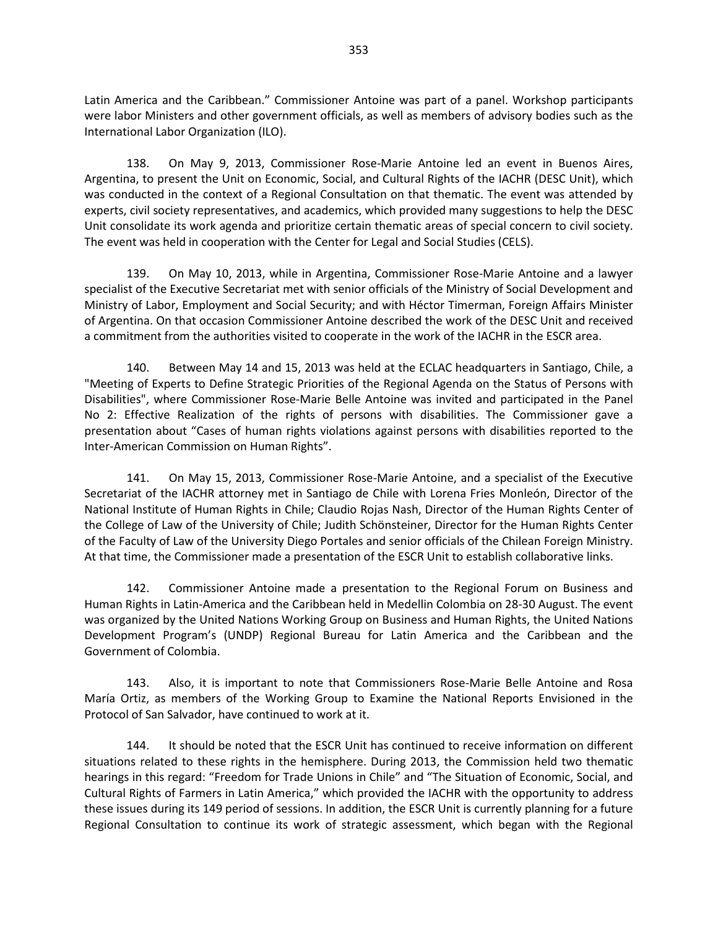Latin America and the Caribbean." Commissioner Antoine was part of a panel. Workshop participants were labor Ministers and other government officials, as well as members of advisory bodies such as the International Labor Organization (ILO).

138. On May 9, 2013, Commissioner Rose-Marie Antoine led an event in Buenos Aires, Argentina, to present the Unit on Economic, Social, and Cultural Rights of the IACHR (DESC Unit), which was conducted in the context of a Regional Consultation on that thematic. The event was attended by experts, civil society representatives, and academics, which provided many suggestions to help the DESC Unit consolidate its work agenda and prioritize certain thematic areas of special concern to civil society. The event was held in cooperation with the Center for Legal and Social Studies (CELS).

139. On May 10, 2013, while in Argentina, Commissioner Rose-Marie Antoine and a lawyer specialist of the Executive Secretariat met with senior officials of the Ministry of Social Development and Ministry of Labor, Employment and Social Security; and with Héctor Timerman, Foreign Affairs Minister of Argentina. On that occasion Commissioner Antoine described the work of the DESC Unit and received a commitment from the authorities visited to cooperate in the work of the IACHR in the ESCR area.

140. Between May 14 and 15, 2013 was held at the ECLAC headquarters in Santiago, Chile, a "Meeting of Experts to Define Strategic Priorities of the Regional Agenda on the Status of Persons with Disabilities", where Commissioner Rose-Marie Belle Antoine was invited and participated in the Panel No 2: Effective Realization of the rights of persons with disabilities. The Commissioner gave a presentation about "Cases of human rights violations against persons with disabilities reported to the Inter-American Commission on Human Rights".

141. On May 15, 2013, Commissioner Rose-Marie Antoine, and a specialist of the Executive Secretariat of the IACHR attorney met in Santiago de Chile with Lorena Fries Monleón, Director of the National Institute of Human Rights in Chile; Claudio Rojas Nash, Director of the Human Rights Center of the College of Law of the University of Chile; Judith Schönsteiner, Director for the Human Rights Center of the Faculty of Law of the University Diego Portales and senior officials of the Chilean Foreign Ministry. At that time, the Commissioner made a presentation of the ESCR Unit to establish collaborative links.

142. Commissioner Antoine made a presentation to the Regional Forum on Business and Human Rights in Latin-America and the Caribbean held in Medellin Colombia on 28-30 August. The event was organized by the United Nations Working Group on Business and Human Rights, the United Nations Development Program's (UNDP) Regional Bureau for Latin America and the Caribbean and the Government of Colombia.

143. Also, it is important to note that Commissioners Rose-Marie Belle Antoine and Rosa María Ortiz, as members of the Working Group to Examine the National Reports Envisioned in the Protocol of San Salvador, have continued to work at it.

144. It should be noted that the ESCR Unit has continued to receive information on different situations related to these rights in the hemisphere. During 2013, the Commission held two thematic hearings in this regard: "Freedom for Trade Unions in Chile" and "The Situation of Economic, Social, and Cultural Rights of Farmers in Latin America," which provided the IACHR with the opportunity to address these issues during its 149 period of sessions. In addition, the ESCR Unit is currently planning for a future Regional Consultation to continue its work of strategic assessment, which began with the Regional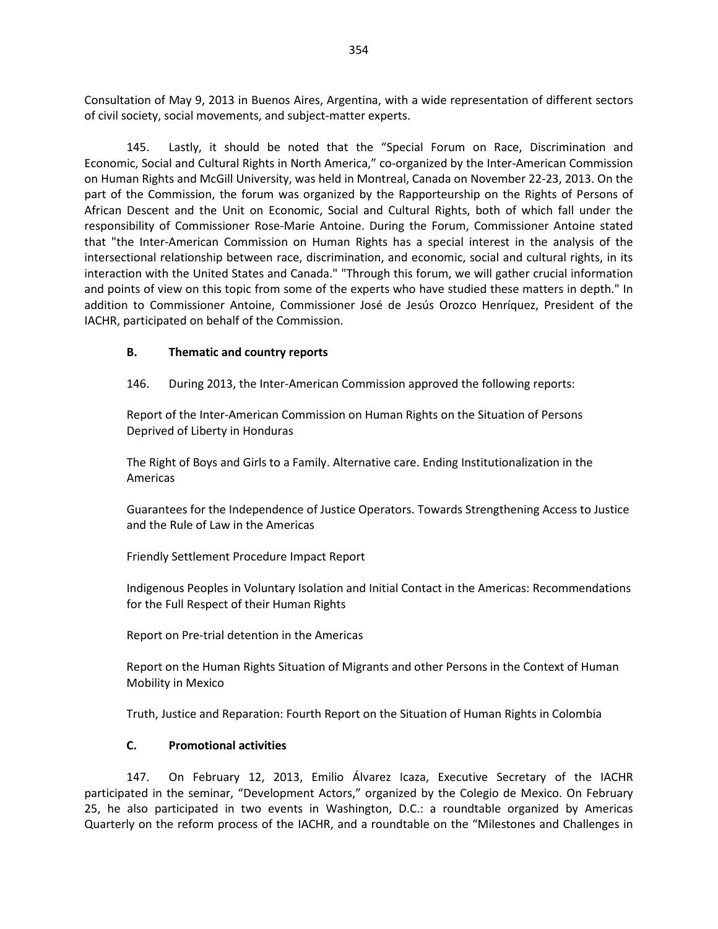Consultation of May 9, 2013 in Buenos Aires, Argentina, with a wide representation of different sectors of civil society, social movements, and subject-matter experts.

145. Lastly, it should be noted that the "Special Forum on Race, Discrimination and Economic, Social and Cultural Rights in North America," co-organized by the Inter-American Commission on Human Rights and McGill University, was held in Montreal, Canada on November 22-23, 2013. On the part of the Commission, the forum was organized by the Rapporteurship on the Rights of Persons of African Descent and the Unit on Economic, Social and Cultural Rights, both of which fall under the responsibility of Commissioner Rose-Marie Antoine. During the Forum, Commissioner Antoine stated that "the Inter-American Commission on Human Rights has a special interest in the analysis of the intersectional relationship between race, discrimination, and economic, social and cultural rights, in its interaction with the United States and Canada." "Through this forum, we will gather crucial information and points of view on this topic from some of the experts who have studied these matters in depth." In addition to Commissioner Antoine, Commissioner José de Jesús Orozco Henríquez, President of the IACHR, participated on behalf of the Commission.

#### **B. Thematic and country reports**

146. During 2013, the Inter-American Commission approved the following reports:

Report of the Inter-American Commission on Human Rights on the Situation of Persons Deprived of Liberty in Honduras

The Right of Boys and Girls to a Family. Alternative care. Ending Institutionalization in the Americas

Guarantees for the Independence of Justice Operators. Towards Strengthening Access to Justice and the Rule of Law in the Americas

Friendly Settlement Procedure Impact Report

Indigenous Peoples in Voluntary Isolation and Initial Contact in the Americas: Recommendations for the Full Respect of their Human Rights

Report on Pre-trial detention in the Americas

Report on the Human Rights Situation of Migrants and other Persons in the Context of Human Mobility in Mexico

Truth, Justice and Reparation: Fourth Report on the Situation of Human Rights in Colombia

#### **C. Promotional activities**

147. On February 12, 2013, Emilio Álvarez Icaza, Executive Secretary of the IACHR participated in the seminar, "Development Actors," organized by the Colegio de Mexico. On February 25, he also participated in two events in Washington, D.C.: a roundtable organized by Americas Quarterly on the reform process of the IACHR, and a roundtable on the "Milestones and Challenges in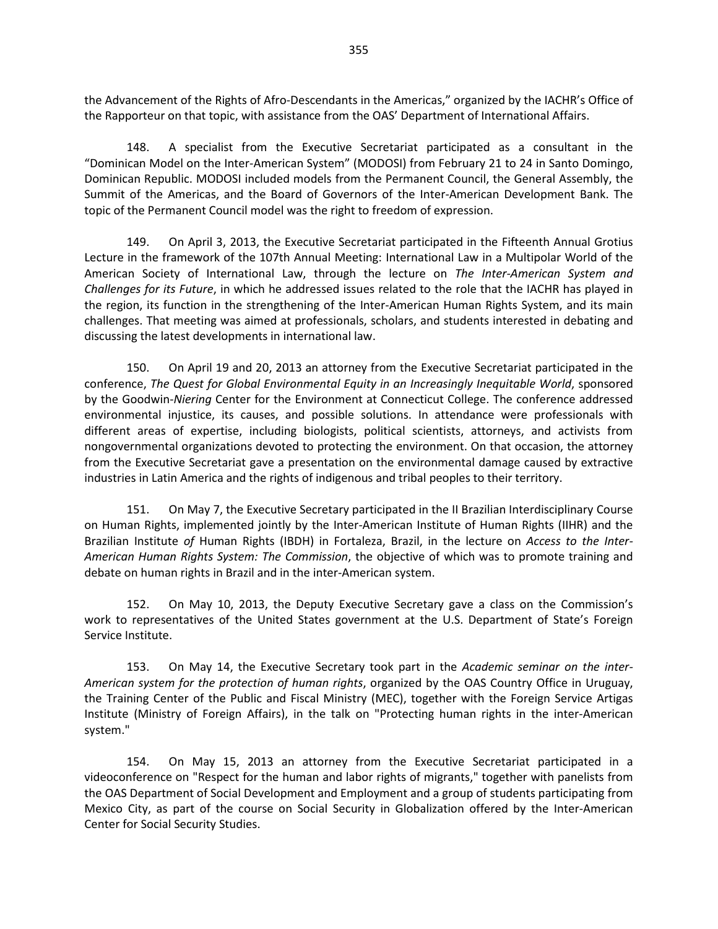the Advancement of the Rights of Afro-Descendants in the Americas," organized by the IACHR's Office of the Rapporteur on that topic, with assistance from the OAS' Department of International Affairs.

148. A specialist from the Executive Secretariat participated as a consultant in the "Dominican Model on the Inter-American System" (MODOSI) from February 21 to 24 in Santo Domingo, Dominican Republic. MODOSI included models from the Permanent Council, the General Assembly, the Summit of the Americas, and the Board of Governors of the Inter-American Development Bank. The topic of the Permanent Council model was the right to freedom of expression.

149. On April 3, 2013, the Executive Secretariat participated in the Fifteenth Annual Grotius Lecture in the framework of the 107th Annual Meeting: International Law in a Multipolar World of the American Society of International Law, through the lecture on *The Inter-American System and Challenges for its Future*, in which he addressed issues related to the role that the IACHR has played in the region, its function in the strengthening of the Inter-American Human Rights System, and its main challenges. That meeting was aimed at professionals, scholars, and students interested in debating and discussing the latest developments in international law.

150. On April 19 and 20, 2013 an attorney from the Executive Secretariat participated in the conference, *The Quest for Global Environmental Equity in an Increasingly Inequitable World*, sponsored by the Goodwin-*Niering* Center for the Environment at Connecticut College. The conference addressed environmental injustice, its causes, and possible solutions. In attendance were professionals with different areas of expertise, including biologists, political scientists, attorneys, and activists from nongovernmental organizations devoted to protecting the environment. On that occasion, the attorney from the Executive Secretariat gave a presentation on the environmental damage caused by extractive industries in Latin America and the rights of indigenous and tribal peoples to their territory.

151. On May 7, the Executive Secretary participated in the II Brazilian Interdisciplinary Course on Human Rights, implemented jointly by the Inter-American Institute of Human Rights (IIHR) and the Brazilian Institute *of* Human Rights (IBDH) in Fortaleza, Brazil, in the lecture on *Access to the Inter-American Human Rights System: The Commission*, the objective of which was to promote training and debate on human rights in Brazil and in the inter-American system.

152. On May 10, 2013, the Deputy Executive Secretary gave a class on the Commission's work to representatives of the United States government at the U.S. Department of State's Foreign Service Institute.

153. On May 14, the Executive Secretary took part in the *Academic seminar on the inter-American system for the protection of human rights*, organized by the OAS Country Office in Uruguay, the Training Center of the Public and Fiscal Ministry (MEC), together with the Foreign Service Artigas Institute (Ministry of Foreign Affairs), in the talk on "Protecting human rights in the inter-American system."

154. On May 15, 2013 an attorney from the Executive Secretariat participated in a videoconference on "Respect for the human and labor rights of migrants," together with panelists from the OAS Department of Social Development and Employment and a group of students participating from Mexico City, as part of the course on Social Security in Globalization offered by the Inter-American Center for Social Security Studies.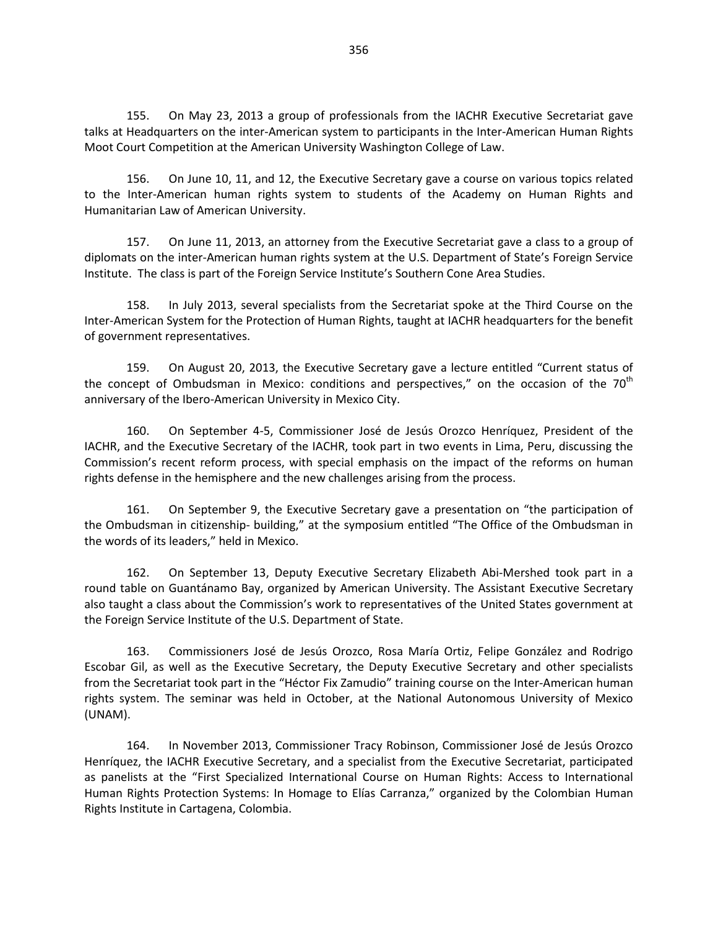155. On May 23, 2013 a group of professionals from the IACHR Executive Secretariat gave talks at Headquarters on the inter-American system to participants in the Inter-American Human Rights Moot Court Competition at the American University Washington College of Law.

156. On June 10, 11, and 12, the Executive Secretary gave a course on various topics related to the Inter-American human rights system to students of the Academy on Human Rights and Humanitarian Law of American University.

157. On June 11, 2013, an attorney from the Executive Secretariat gave a class to a group of diplomats on the inter-American human rights system at the U.S. Department of State's Foreign Service Institute. The class is part of the Foreign Service Institute's Southern Cone Area Studies.

158. In July 2013, several specialists from the Secretariat spoke at the Third Course on the Inter-American System for the Protection of Human Rights, taught at IACHR headquarters for the benefit of government representatives.

159. On August 20, 2013, the Executive Secretary gave a lecture entitled "Current status of the concept of Ombudsman in Mexico: conditions and perspectives," on the occasion of the  $70<sup>th</sup>$ anniversary of the Ibero-American University in Mexico City.

160. On September 4-5, Commissioner José de Jesús Orozco Henríquez, President of the IACHR, and the Executive Secretary of the IACHR, took part in two events in Lima, Peru, discussing the Commission's recent reform process, with special emphasis on the impact of the reforms on human rights defense in the hemisphere and the new challenges arising from the process.

161. On September 9, the Executive Secretary gave a presentation on "the participation of the Ombudsman in citizenship- building," at the symposium entitled "The Office of the Ombudsman in the words of its leaders," held in Mexico.

162. On September 13, Deputy Executive Secretary Elizabeth Abi-Mershed took part in a round table on Guantánamo Bay, organized by American University. The Assistant Executive Secretary also taught a class about the Commission's work to representatives of the United States government at the Foreign Service Institute of the U.S. Department of State.

163. Commissioners José de Jesús Orozco, Rosa María Ortiz, Felipe González and Rodrigo Escobar Gil, as well as the Executive Secretary, the Deputy Executive Secretary and other specialists from the Secretariat took part in the "Héctor Fix Zamudio" training course on the Inter-American human rights system. The seminar was held in October, at the National Autonomous University of Mexico (UNAM).

164. In November 2013, Commissioner Tracy Robinson, Commissioner José de Jesús Orozco Henríquez, the IACHR Executive Secretary, and a specialist from the Executive Secretariat, participated as panelists at the "First Specialized International Course on Human Rights: Access to International Human Rights Protection Systems: In Homage to Elías Carranza," organized by the Colombian Human Rights Institute in Cartagena, Colombia.